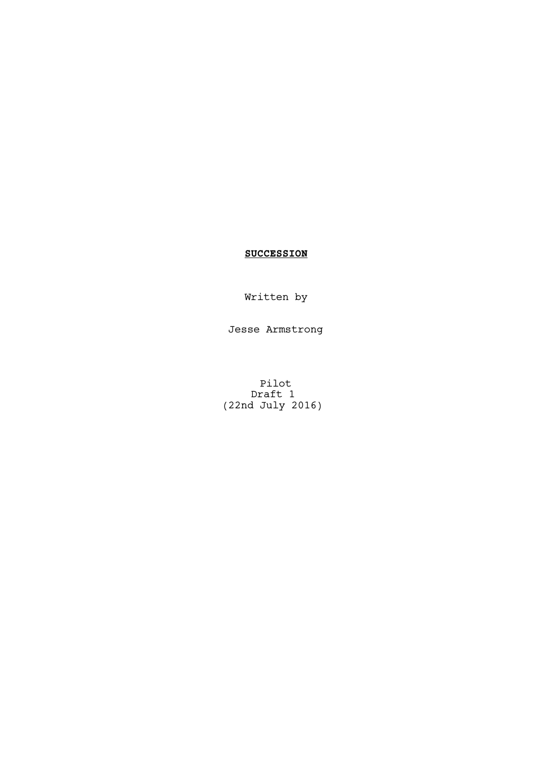# **SUCCESSION**

Written by

Jesse Armstrong

Pilot Draft 1 (22nd July 2016)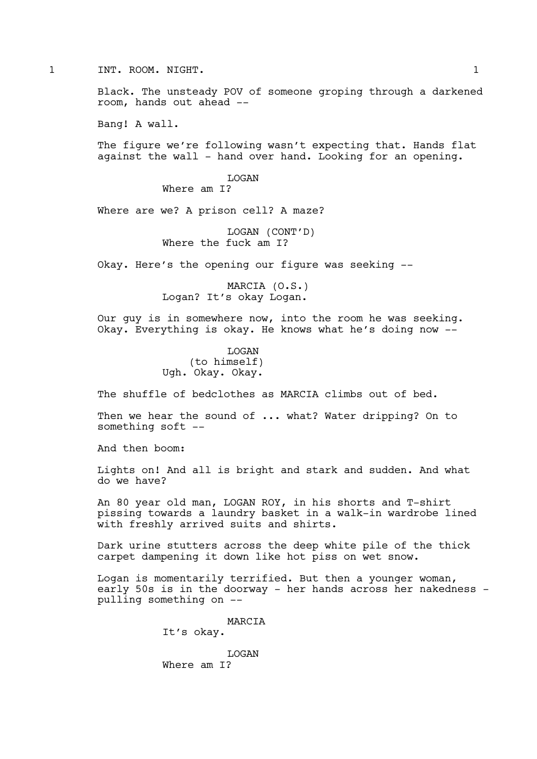# 1 INT. ROOM. NIGHT. 1

Black. The unsteady POV of someone groping through a darkened room, hands out ahead --

Bang! A wall.

The figure we're following wasn't expecting that. Hands flat against the wall - hand over hand. Looking for an opening.

LOGAN

Where am I?

Where are we? A prison cell? A maze?

LOGAN (CONT'D) Where the fuck am I?

Okay. Here's the opening our figure was seeking --

MARCIA (O.S.) Logan? It's okay Logan.

Our guy is in somewhere now, into the room he was seeking. Okay. Everything is okay. He knows what he's doing now --

> LOGAN (to himself) Ugh. Okay. Okay.

The shuffle of bedclothes as MARCIA climbs out of bed.

Then we hear the sound of ... what? Water dripping? On to something soft --

And then boom:

Lights on! And all is bright and stark and sudden. And what do we have?

An 80 year old man, LOGAN ROY, in his shorts and T-shirt pissing towards a laundry basket in a walk-in wardrobe lined with freshly arrived suits and shirts.

Dark urine stutters across the deep white pile of the thick carpet dampening it down like hot piss on wet snow.

Logan is momentarily terrified. But then a younger woman, early 50s is in the doorway - her hands across her nakedness pulling something on --

> MARCIA It's okay.

LOGAN Where am I?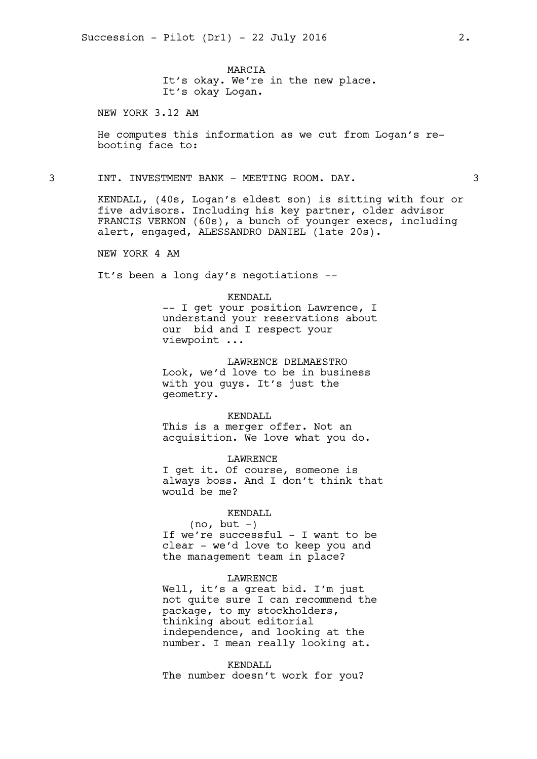MARCIA It's okay. We're in the new place. It's okay Logan.

NEW YORK 3.12 AM

He computes this information as we cut from Logan's rebooting face to:

3 INT. INVESTMENT BANK - MEETING ROOM. DAY. 3

KENDALL, (40s, Logan's eldest son) is sitting with four or five advisors. Including his key partner, older advisor FRANCIS VERNON (60s), a bunch of younger execs, including alert, engaged, ALESSANDRO DANIEL (late 20s).

NEW YORK 4 AM

It's been a long day's negotiations --

#### KENDALL

-- I get your position Lawrence, I understand your reservations about our bid and I respect your viewpoint ...

LAWRENCE DELMAESTRO Look, we'd love to be in business with you guys. It's just the geometry.

KENDALL This is a merger offer. Not an acquisition. We love what you do.

LAWRENCE I get it. Of course, someone is always boss. And I don't think that would be me?

#### KENDALL

 $(no, but -)$ If we're successful - I want to be clear - we'd love to keep you and the management team in place?

### LAWRENCE

Well, it's a great bid. I'm just not quite sure I can recommend the package, to my stockholders, thinking about editorial independence, and looking at the number. I mean really looking at.

KENDALL The number doesn't work for you?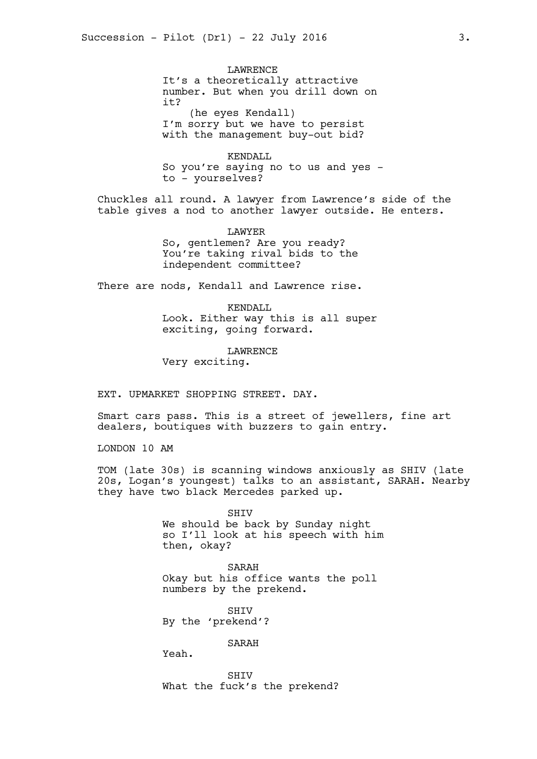LAWRENCE It's a theoretically attractive number. But when you drill down on it? (he eyes Kendall)

I'm sorry but we have to persist with the management buy-out bid?

KENDALL So you're saying no to us and yes to - yourselves?

Chuckles all round. A lawyer from Lawrence's side of the table gives a nod to another lawyer outside. He enters.

> LAWYER So, gentlemen? Are you ready? You're taking rival bids to the independent committee?

There are nods, Kendall and Lawrence rise.

KENDALL Look. Either way this is all super exciting, going forward.

LAWRENCE Very exciting.

EXT. UPMARKET SHOPPING STREET. DAY.

Smart cars pass. This is a street of jewellers, fine art dealers, boutiques with buzzers to gain entry.

LONDON 10 AM

TOM (late 30s) is scanning windows anxiously as SHIV (late 20s, Logan's youngest) talks to an assistant, SARAH. Nearby they have two black Mercedes parked up.

> SHIV We should be back by Sunday night so I'll look at his speech with him then, okay?

SARAH Okay but his office wants the poll numbers by the prekend.

**SHTV** By the 'prekend'?

SARAH

Yeah.

SHIV What the fuck's the prekend?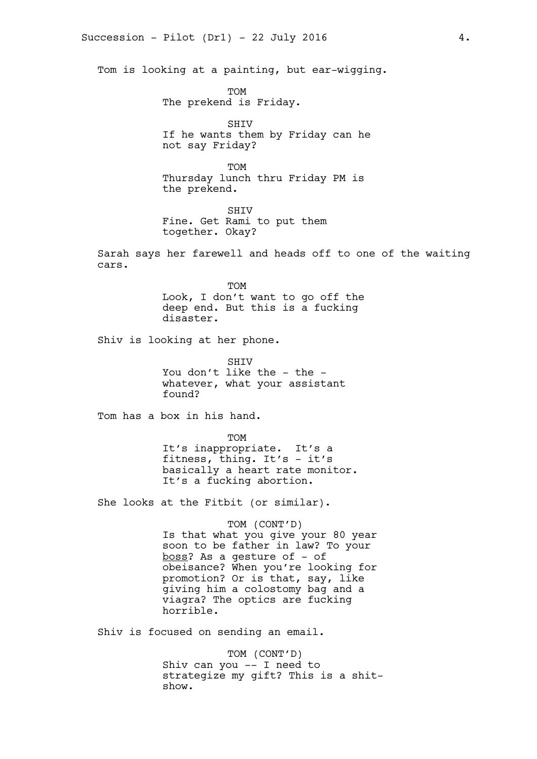Tom is looking at a painting, but ear-wigging.

TOM The prekend is Friday.

SHIV If he wants them by Friday can he not say Friday?

TOM Thursday lunch thru Friday PM is the prekend.

SHIV Fine. Get Rami to put them together. Okay?

Sarah says her farewell and heads off to one of the waiting cars.

> TOM Look, I don't want to go off the deep end. But this is a fucking disaster.

Shiv is looking at her phone.

**SHTV** You don't like the - the whatever, what your assistant found?

Tom has a box in his hand.

TOM It's inappropriate. It's a fitness, thing. It's - it's basically a heart rate monitor. It's a fucking abortion.

She looks at the Fitbit (or similar).

TOM (CONT'D) Is that what you give your 80 year soon to be father in law? To your boss? As a gesture of - of obeisance? When you're looking for promotion? Or is that, say, like giving him a colostomy bag and a viagra? The optics are fucking horrible.

Shiv is focused on sending an email.

TOM (CONT'D) Shiv can you -- I need to strategize my gift? This is a shitshow.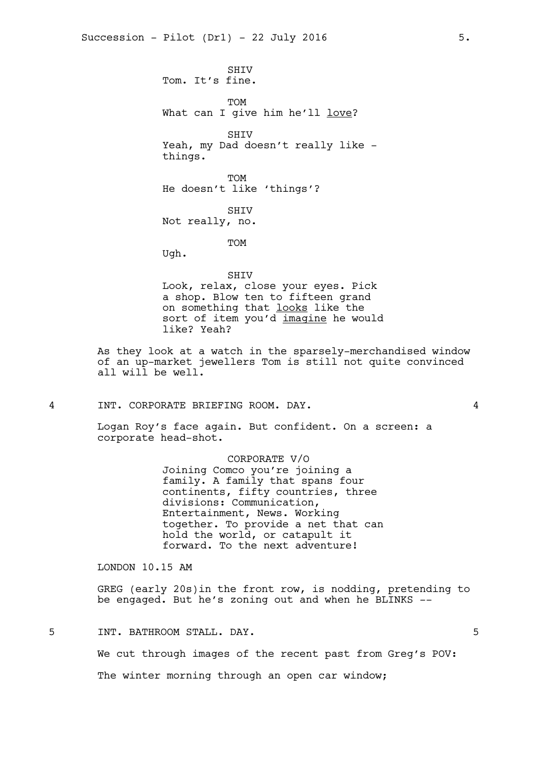SHIV Tom. It's fine. TOM What can I give him he'll love? SHIV Yeah, my Dad doesn't really like things. TOM He doesn't like 'things'? SHIV Not really, no. TOM Ugh. SHIV Look, relax, close your eyes. Pick a shop. Blow ten to fifteen grand on something that looks like the sort of item you'd imagine he would like? Yeah?

As they look at a watch in the sparsely-merchandised window of an up-market jewellers Tom is still not quite convinced all will be well.

4 INT. CORPORATE BRIEFING ROOM. DAY. 4

Logan Roy's face again. But confident. On a screen: a corporate head-shot.

> CORPORATE V/O Joining Comco you're joining a family. A family that spans four continents, fifty countries, three divisions: Communication, Entertainment, News. Working together. To provide a net that can hold the world, or catapult it forward. To the next adventure!

LONDON 10.15 AM

GREG (early 20s)in the front row, is nodding, pretending to be engaged. But he's zoning out and when he BLINKS --

5 INT. BATHROOM STALL. DAY. 5

We cut through images of the recent past from Greg's POV:

The winter morning through an open car window;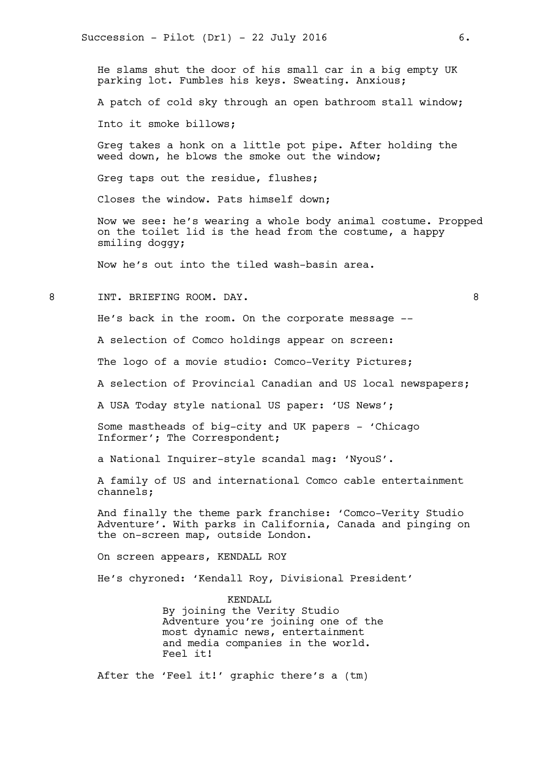He slams shut the door of his small car in a big empty UK parking lot. Fumbles his keys. Sweating. Anxious;

A patch of cold sky through an open bathroom stall window;

Into it smoke billows;

Greg takes a honk on a little pot pipe. After holding the weed down, he blows the smoke out the window;

Greg taps out the residue, flushes;

Closes the window. Pats himself down;

Now we see: he's wearing a whole body animal costume. Propped on the toilet lid is the head from the costume, a happy smiling doggy;

Now he's out into the tiled wash-basin area.

8 INT. BRIEFING ROOM. DAY. 8

He's back in the room. On the corporate message --

A selection of Comco holdings appear on screen:

The logo of a movie studio: Comco-Verity Pictures;

A selection of Provincial Canadian and US local newspapers;

A USA Today style national US paper: 'US News';

Some mastheads of big-city and UK papers - 'Chicago Informer'; The Correspondent;

a National Inquirer-style scandal mag: 'NyouS'.

A family of US and international Comco cable entertainment channels;

And finally the theme park franchise: 'Comco-Verity Studio Adventure'. With parks in California, Canada and pinging on the on-screen map, outside London.

On screen appears, KENDALL ROY

He's chyroned: 'Kendall Roy, Divisional President'

KENDALL By joining the Verity Studio Adventure you're joining one of the most dynamic news, entertainment and media companies in the world. Feel it!

After the 'Feel it!' graphic there's a (tm)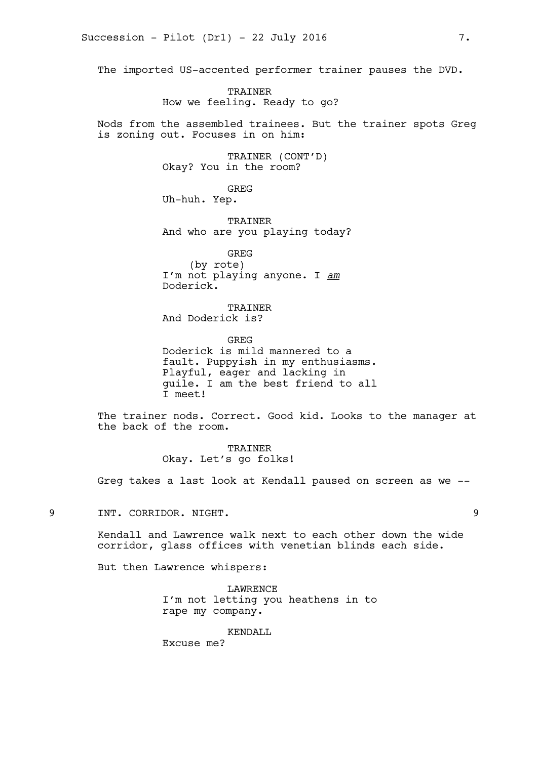The imported US-accented performer trainer pauses the DVD.

TRAINER How we feeling. Ready to go?

Nods from the assembled trainees. But the trainer spots Greg is zoning out. Focuses in on him:

> TRAINER (CONT'D) Okay? You in the room?

> > GREG

Uh-huh. Yep.

TRAINER And who are you playing today?

GREG (by rote) I'm not playing anyone. I *am* Doderick.

TRAINER And Doderick is?

GREG Doderick is mild mannered to a fault. Puppyish in my enthusiasms. Playful, eager and lacking in guile. I am the best friend to all I meet!

The trainer nods. Correct. Good kid. Looks to the manager at the back of the room.

> TRAINER Okay. Let's go folks!

Greg takes a last look at Kendall paused on screen as we --

9 INT. CORRIDOR. NIGHT. 9

Kendall and Lawrence walk next to each other down the wide corridor, glass offices with venetian blinds each side.

But then Lawrence whispers:

LAWRENCE I'm not letting you heathens in to rape my company.

# KENDALL

Excuse me?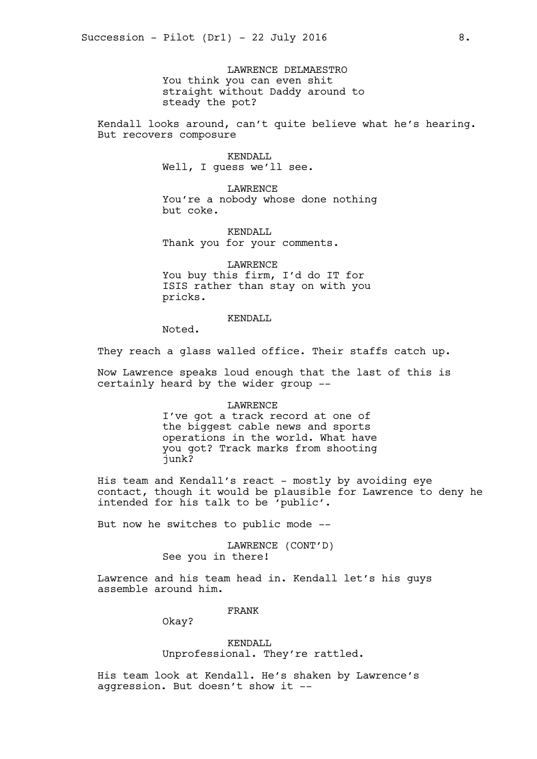LAWRENCE DELMAESTRO You think you can even shit straight without Daddy around to steady the pot?

Kendall looks around, can't quite believe what he's hearing. But recovers composure

> KENDALL Well, I guess we'll see.

LAWRENCE You're a nobody whose done nothing but coke.

KENDALL Thank you for your comments.

LAWRENCE You buy this firm, I'd do IT for ISIS rather than stay on with you pricks.

KENDALL

Noted.

They reach a glass walled office. Their staffs catch up.

Now Lawrence speaks loud enough that the last of this is certainly heard by the wider group --

#### LAWRENCE

I've got a track record at one of the biggest cable news and sports operations in the world. What have you got? Track marks from shooting junk?

His team and Kendall's react - mostly by avoiding eye contact, though it would be plausible for Lawrence to deny he intended for his talk to be 'public'.

But now he switches to public mode --

LAWRENCE (CONT'D) See you in there!

Lawrence and his team head in. Kendall let's his guys assemble around him.

FRANK

Okay?

KENDALL Unprofessional. They're rattled.

His team look at Kendall. He's shaken by Lawrence's aggression. But doesn't show it --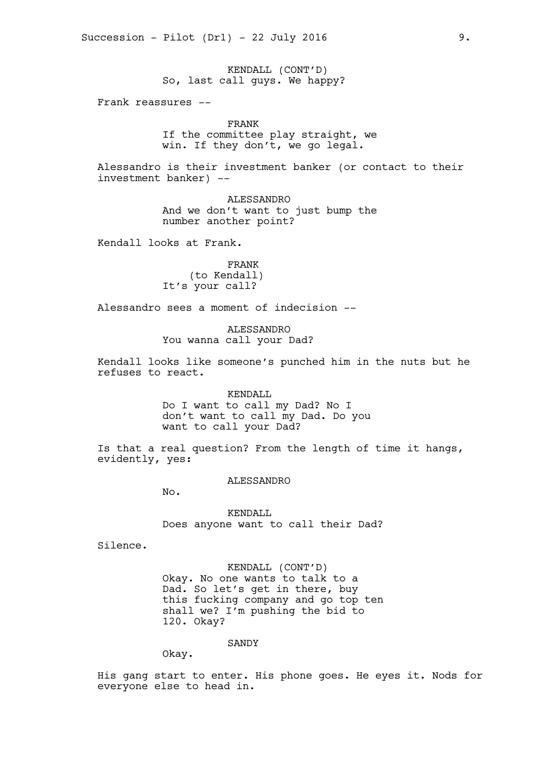KENDALL (CONT'D) So, last call guys. We happy?

Frank reassures --

FRANK

If the committee play straight, we win. If they don't, we go legal.

Alessandro is their investment banker (or contact to their investment banker) --

> ALESSANDRO And we don't want to just bump the number another point?

Kendall looks at Frank.

FRANK (to Kendall) It's your call?

Alessandro sees a moment of indecision --

ALESSANDRO You wanna call your Dad?

Kendall looks like someone's punched him in the nuts but he refuses to react.

> KENDALL Do I want to call my Dad? No I don't want to call my Dad. Do you want to call your Dad?

Is that a real question? From the length of time it hangs, evidently, yes:

ALESSANDRO

No.

KENDALL Does anyone want to call their Dad?

Silence.

KENDALL (CONT'D) Okay. No one wants to talk to a Dad. So let's get in there, buy this fucking company and go top ten shall we? I'm pushing the bid to 120. Okay?

**SANDY** 

Okay.

His gang start to enter. His phone goes. He eyes it. Nods for everyone else to head in.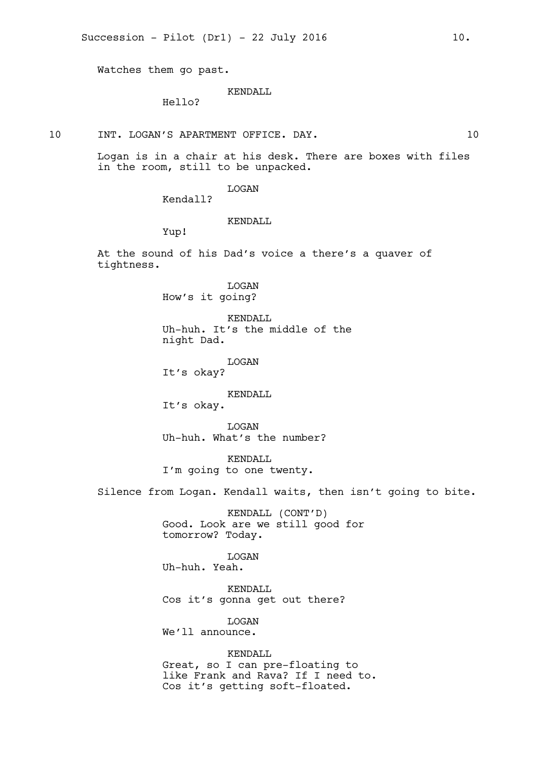Watches them go past.

KENDALL

Hello?

10 INT. LOGAN'S APARTMENT OFFICE. DAY. 10

Logan is in a chair at his desk. There are boxes with files in the room, still to be unpacked.

LOGAN

Kendall?

# KENDALL

Yup!

At the sound of his Dad's voice a there's a quaver of tightness.

> LOGAN How's it going?

KENDALL Uh-huh. It's the middle of the night Dad.

LOGAN

It's okay?

KENDALL

It's okay.

LOGAN Uh-huh. What's the number?

KENDALL I'm going to one twenty.

Silence from Logan. Kendall waits, then isn't going to bite.

KENDALL (CONT'D) Good. Look are we still good for tomorrow? Today.

LOGAN Uh-huh. Yeah.

KENDALL Cos it's gonna get out there?

**T.OGAN** We'll announce.

KENDALL Great, so I can pre-floating to like Frank and Rava? If I need to. Cos it's getting soft-floated.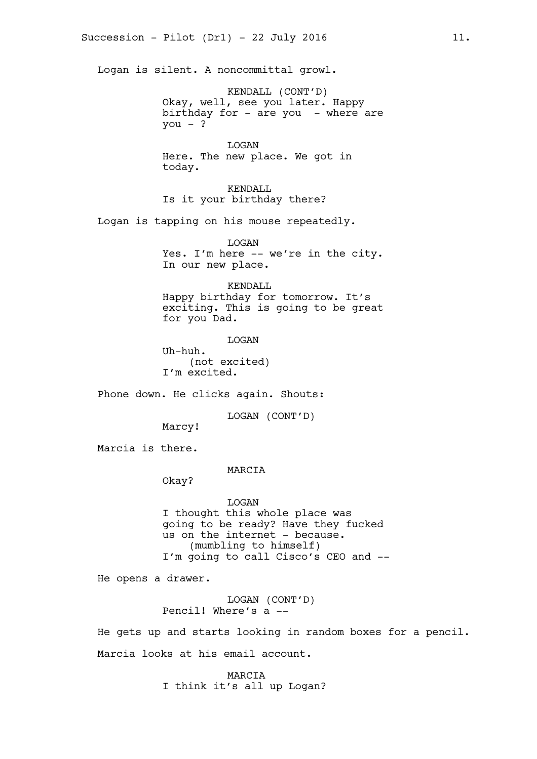Logan is silent. A noncommittal growl.

KENDALL (CONT'D) Okay, well, see you later. Happy birthday for - are you - where are  $you - ?$ 

**T**<sub>O</sub>GAN Here. The new place. We got in today.

KENDALL Is it your birthday there?

Logan is tapping on his mouse repeatedly.

LOGAN Yes. I'm here -- we're in the city. In our new place.

## KENDALL

Happy birthday for tomorrow. It's exciting. This is going to be great for you Dad.

LOGAN

Uh-huh. (not excited) I'm excited.

Phone down. He clicks again. Shouts:

LOGAN (CONT'D)

Marcy!

Marcia is there.

### MARCIA

Okay?

LOGAN I thought this whole place was going to be ready? Have they fucked us on the internet - because. (mumbling to himself) I'm going to call Cisco's CEO and --

He opens a drawer.

LOGAN (CONT'D) Pencil! Where's a --

He gets up and starts looking in random boxes for a pencil. Marcia looks at his email account.

> MARCIA I think it's all up Logan?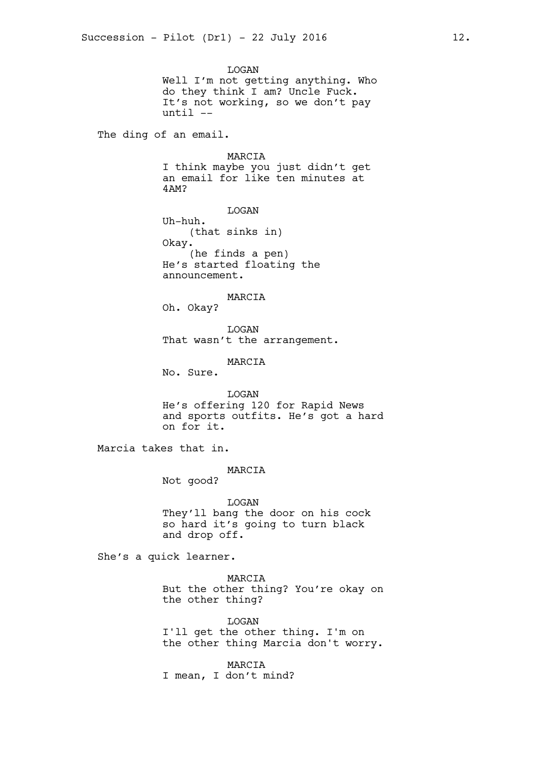LOGAN Well I'm not getting anything. Who do they think I am? Uncle Fuck. It's not working, so we don't pay until --

The ding of an email.

MARCIA I think maybe you just didn't get an email for like ten minutes at 4AM?

LOGAN Uh-huh. (that sinks in) Okay. (he finds a pen) He's started floating the announcement.

Oh. Okay? LOGAN

MARCIA

That wasn't the arrangement.

MARCIA

No. Sure.

LOGAN He's offering 120 for Rapid News and sports outfits. He's got a hard on for it.

Marcia takes that in.

### MARCIA

Not good?

LOGAN They'll bang the door on his cock so hard it's going to turn black and drop off.

She's a quick learner.

MARCIA But the other thing? You're okay on the other thing?

LOGAN I'll get the other thing. I'm on the other thing Marcia don't worry.

MARCIA I mean, I don't mind?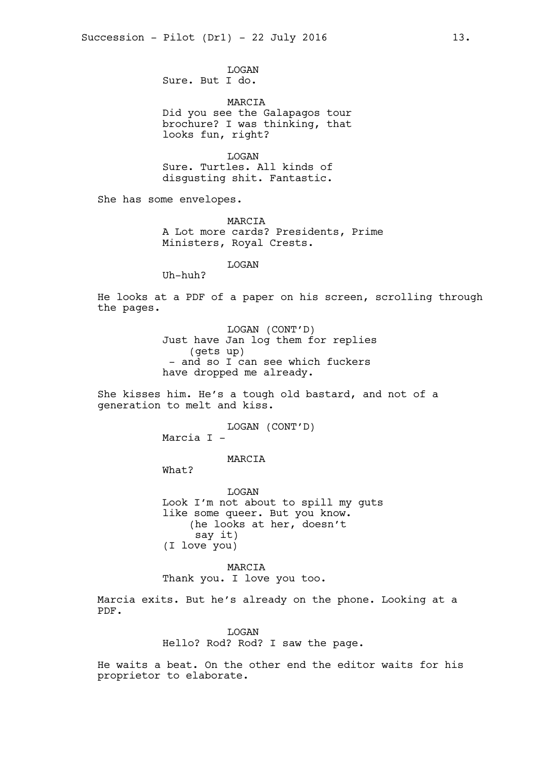LOGAN Sure. But I do.

MARCIA Did you see the Galapagos tour brochure? I was thinking, that looks fun, right?

LOGAN Sure. Turtles. All kinds of disgusting shit. Fantastic.

She has some envelopes.

MARCIA A Lot more cards? Presidents, Prime Ministers, Royal Crests.

LOGAN

Uh-huh?

He looks at a PDF of a paper on his screen, scrolling through the pages.

> LOGAN (CONT'D) Just have Jan log them for replies (gets up) - and so I can see which fuckers have dropped me already.

She kisses him. He's a tough old bastard, and not of a generation to melt and kiss.

LOGAN (CONT'D)

Marcia I -

MARCIA

What?

LOGAN Look I'm not about to spill my guts like some queer. But you know. (he looks at her, doesn't say it) (I love you)

MARCIA Thank you. I love you too.

Marcia exits. But he's already on the phone. Looking at a PDF.

**T<sub>I</sub>OGAN** 

Hello? Rod? Rod? I saw the page.

He waits a beat. On the other end the editor waits for his proprietor to elaborate.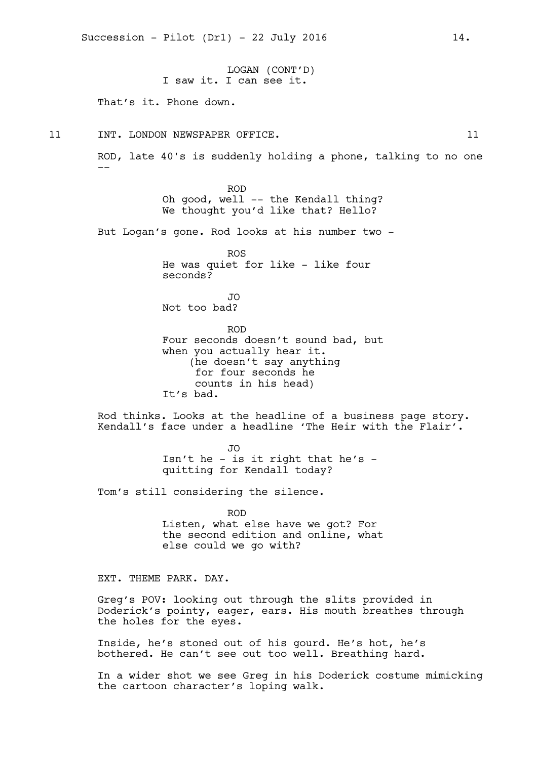LOGAN (CONT'D) I saw it. I can see it. That's it. Phone down. 11 INT. LONDON NEWSPAPER OFFICE. 11 ROD, late 40's is suddenly holding a phone, talking to no one -- ROD Oh good, well -- the Kendall thing? We thought you'd like that? Hello? But Logan's gone. Rod looks at his number two - ROS He was quiet for like - like four seconds? JO Not too bad? ROD Four seconds doesn't sound bad, but when you actually hear it. (he doesn't say anything for four seconds he counts in his head) It's bad. Rod thinks. Looks at the headline of a business page story. Kendall's face under a headline 'The Heir with the Flair'. JO Isn't he - is it right that he's quitting for Kendall today? Tom's still considering the silence. ROD Listen, what else have we got? For the second edition and online, what else could we go with? EXT. THEME PARK. DAY.

Succession - Pilot  $(Dr1)$  - 22 July 2016 14.

Greg's POV: looking out through the slits provided in Doderick's pointy, eager, ears. His mouth breathes through the holes for the eyes.

Inside, he's stoned out of his gourd. He's hot, he's bothered. He can't see out too well. Breathing hard.

In a wider shot we see Greg in his Doderick costume mimicking the cartoon character's loping walk.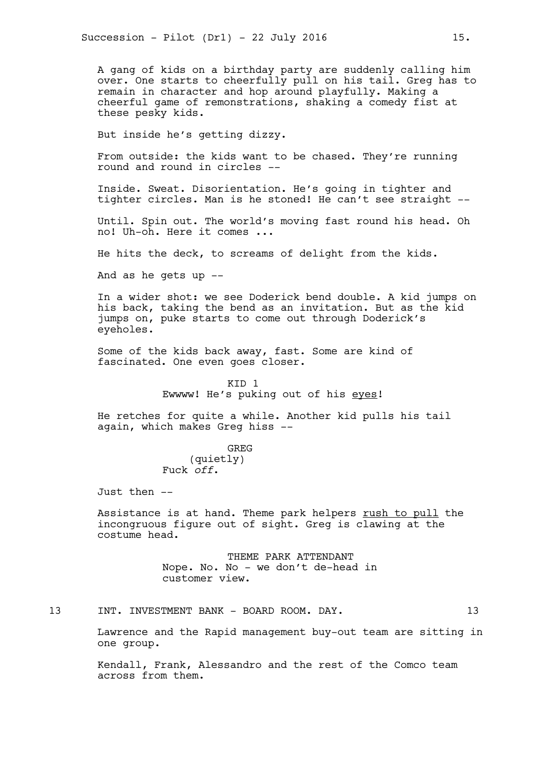A gang of kids on a birthday party are suddenly calling him over. One starts to cheerfully pull on his tail. Greg has to remain in character and hop around playfully. Making a cheerful game of remonstrations, shaking a comedy fist at these pesky kids.

But inside he's getting dizzy.

From outside: the kids want to be chased. They're running round and round in circles --

Inside. Sweat. Disorientation. He's going in tighter and tighter circles. Man is he stoned! He can't see straight --

Until. Spin out. The world's moving fast round his head. Oh no! Uh-oh. Here it comes ...

He hits the deck, to screams of delight from the kids.

And as he gets up --

In a wider shot: we see Doderick bend double. A kid jumps on his back, taking the bend as an invitation. But as the kid jumps on, puke starts to come out through Doderick's eyeholes.

Some of the kids back away, fast. Some are kind of fascinated. One even goes closer.

> KID 1 Ewwww! He's puking out of his eyes!

He retches for quite a while. Another kid pulls his tail again, which makes Greg hiss --

> GREG (quietly) Fuck *off*.

Just then --

Assistance is at hand. Theme park helpers rush to pull the incongruous figure out of sight. Greg is clawing at the costume head.

> THEME PARK ATTENDANT Nope. No. No - we don't de-head in customer view.

13 INT. INVESTMENT BANK - BOARD ROOM. DAY. 13

Lawrence and the Rapid management buy-out team are sitting in one group.

Kendall, Frank, Alessandro and the rest of the Comco team across from them.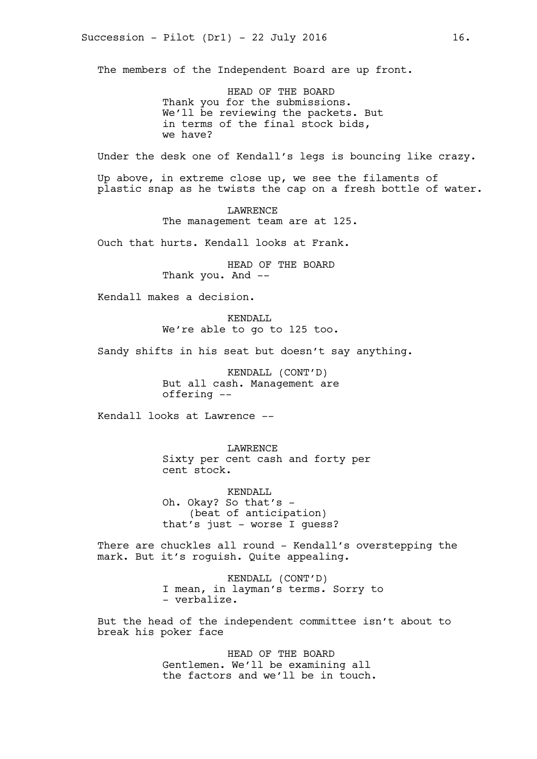The members of the Independent Board are up front.

HEAD OF THE BOARD Thank you for the submissions. We'll be reviewing the packets. But in terms of the final stock bids, we have?

Under the desk one of Kendall's legs is bouncing like crazy.

Up above, in extreme close up, we see the filaments of plastic snap as he twists the cap on a fresh bottle of water.

> LAWRENCE The management team are at 125.

Ouch that hurts. Kendall looks at Frank.

HEAD OF THE BOARD Thank you. And --

Kendall makes a decision.

KENDALL We're able to go to 125 too.

Sandy shifts in his seat but doesn't say anything.

KENDALL (CONT'D) But all cash. Management are offering --

Kendall looks at Lawrence --

LAWRENCE Sixty per cent cash and forty per cent stock.

KENDALL Oh. Okay? So that's - (beat of anticipation) that's just - worse I guess?

There are chuckles all round - Kendall's overstepping the mark. But it's roguish. Quite appealing.

> KENDALL (CONT'D) I mean, in layman's terms. Sorry to - verbalize.

But the head of the independent committee isn't about to break his poker face

> HEAD OF THE BOARD Gentlemen. We'll be examining all the factors and we'll be in touch.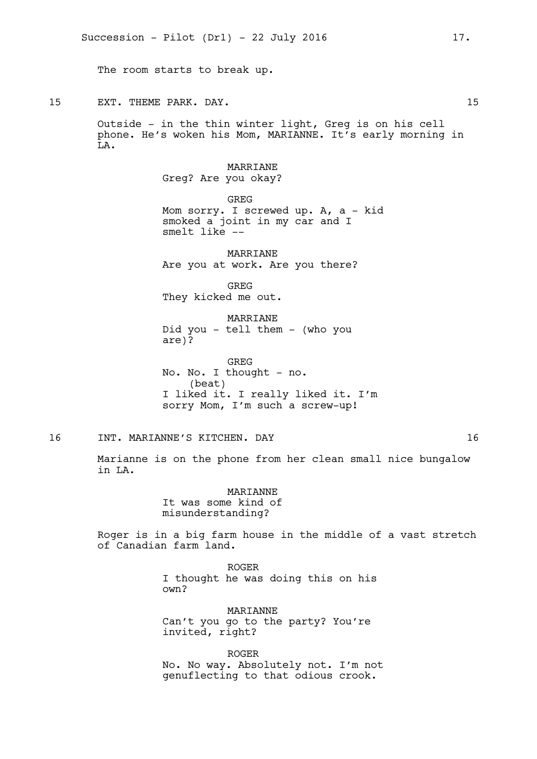The room starts to break up.

15 EXT. THEME PARK. DAY. 15

Outside - in the thin winter light, Greg is on his cell phone. He's woken his Mom, MARIANNE. It's early morning in  $\overline{T}$ <sub>L</sub>A.

> MARRIANE Greg? Are you okay?

GREG Mom sorry. I screwed up. A, a - kid smoked a joint in my car and I smelt like --

MARRIANE Are you at work. Are you there?

GREG They kicked me out.

MARRIANE Did you - tell them - (who you are)?

GREG No. No. I thought - no. (beat) I liked it. I really liked it. I'm sorry Mom, I'm such a screw-up!

16 INT. MARIANNE'S KITCHEN. DAY 16

Marianne is on the phone from her clean small nice bungalow in LA.

> **MARTANNE** It was some kind of misunderstanding?

Roger is in a big farm house in the middle of a vast stretch of Canadian farm land.

> ROGER I thought he was doing this on his own?

**MARTANNE** Can't you go to the party? You're invited, right?

ROGER No. No way. Absolutely not. I'm not genuflecting to that odious crook.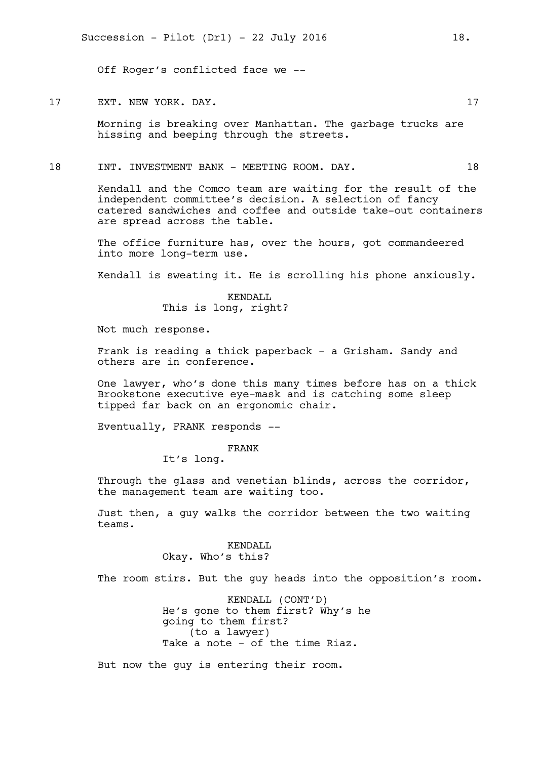Off Roger's conflicted face we --

### 17 EXT. NEW YORK. DAY. 17

Morning is breaking over Manhattan. The garbage trucks are hissing and beeping through the streets.

18 INT. INVESTMENT BANK - MEETING ROOM. DAY. 18

Kendall and the Comco team are waiting for the result of the independent committee's decision. A selection of fancy catered sandwiches and coffee and outside take-out containers are spread across the table.

The office furniture has, over the hours, got commandeered into more long-term use.

Kendall is sweating it. He is scrolling his phone anxiously.

KENDALL This is long, right?

Not much response.

Frank is reading a thick paperback - a Grisham. Sandy and others are in conference.

One lawyer, who's done this many times before has on a thick Brookstone executive eye-mask and is catching some sleep tipped far back on an ergonomic chair.

Eventually, FRANK responds --

FRANK

It's long.

Through the glass and venetian blinds, across the corridor, the management team are waiting too.

Just then, a guy walks the corridor between the two waiting teams.

## KENDALL Okay. Who's this?

The room stirs. But the guy heads into the opposition's room.

KENDALL (CONT'D) He's gone to them first? Why's he going to them first? (to a lawyer) Take a note - of the time Riaz.

But now the guy is entering their room.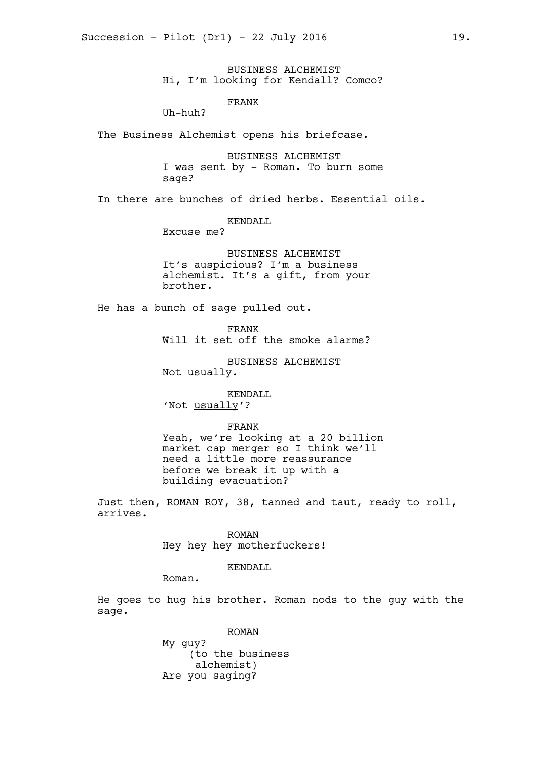BUSINESS ALCHEMIST Hi, I'm looking for Kendall? Comco?

FRANK

Uh-huh?

The Business Alchemist opens his briefcase.

BUSINESS ALCHEMIST I was sent by - Roman. To burn some sage?

In there are bunches of dried herbs. Essential oils.

KENDALL

Excuse me?

BUSINESS ALCHEMIST It's auspicious? I'm a business alchemist. It's a gift, from your brother.

He has a bunch of sage pulled out.

FRANK

Will it set off the smoke alarms?

BUSINESS ALCHEMIST Not usually.

KENDALL 'Not usually'?

FRANK

Yeah, we're looking at a 20 billion market cap merger so I think we'll need a little more reassurance before we break it up with a building evacuation?

Just then, ROMAN ROY, 38, tanned and taut, ready to roll, arrives.

ROMAN

Hey hey hey motherfuckers!

KENDALL

Roman.

He goes to hug his brother. Roman nods to the guy with the sage.

> ROMAN My guy? (to the business alchemist) Are you saging?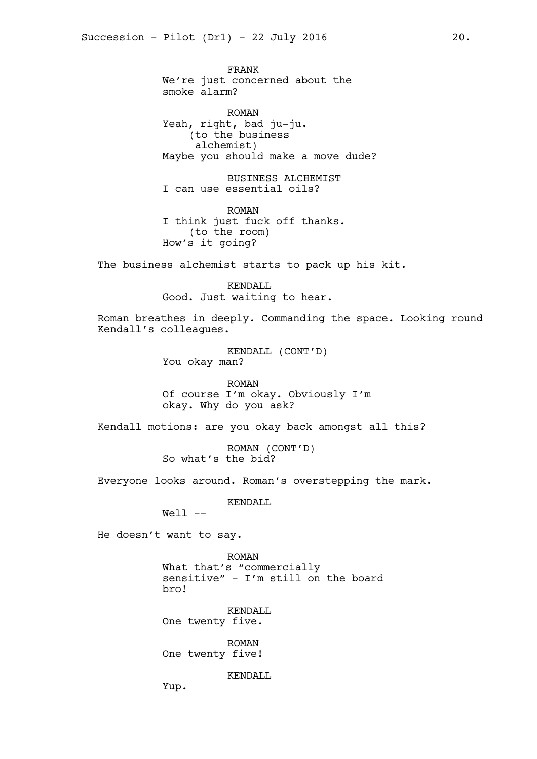FRANK We're just concerned about the smoke alarm?

ROMAN Yeah, right, bad ju-ju. (to the business alchemist) Maybe you should make a move dude?

BUSINESS ALCHEMIST I can use essential oils?

ROMAN I think just fuck off thanks. (to the room) How's it going?

The business alchemist starts to pack up his kit.

KENDALL Good. Just waiting to hear.

Roman breathes in deeply. Commanding the space. Looking round Kendall's colleagues.

> KENDALL (CONT'D) You okay man?

ROMAN Of course I'm okay. Obviously I'm okay. Why do you ask?

Kendall motions: are you okay back amongst all this?

ROMAN (CONT'D) So what's the bid?

Everyone looks around. Roman's overstepping the mark.

KENDALL

Well --

He doesn't want to say.

ROMAN What that's "commercially sensitive" - I'm still on the board bro!

KENDALL One twenty five.

ROMAN One twenty five!

KENDALL

Yup.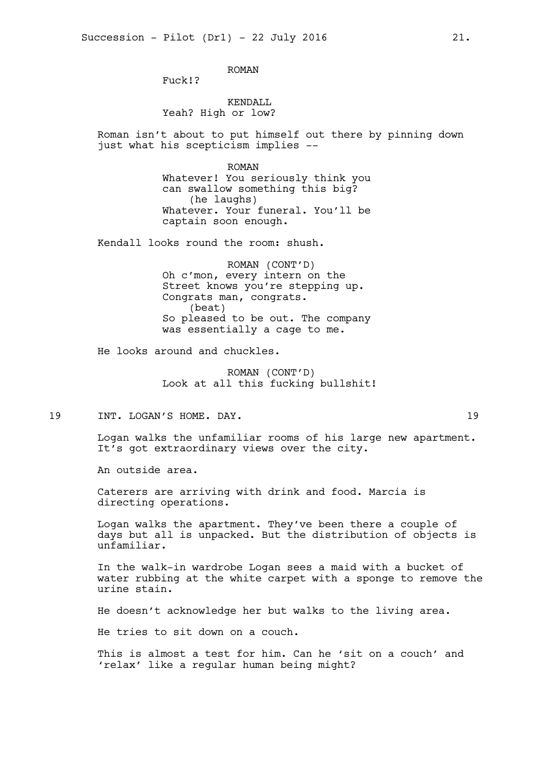ROMAN

Fuck!?

# KENDALL Yeah? High or low?

Roman isn't about to put himself out there by pinning down just what his scepticism implies --

> ROMAN Whatever! You seriously think you can swallow something this big? (he laughs) Whatever. Your funeral. You'll be captain soon enough.

Kendall looks round the room: shush.

ROMAN (CONT'D) Oh c'mon, every intern on the Street knows you're stepping up. Congrats man, congrats. (beat) So pleased to be out. The company was essentially a cage to me.

He looks around and chuckles.

ROMAN (CONT'D) Look at all this fucking bullshit!

19 INT. LOGAN'S HOME. DAY. 19

Logan walks the unfamiliar rooms of his large new apartment. It's got extraordinary views over the city.

An outside area.

Caterers are arriving with drink and food. Marcia is directing operations.

Logan walks the apartment. They've been there a couple of days but all is unpacked. But the distribution of objects is unfamiliar.

In the walk-in wardrobe Logan sees a maid with a bucket of water rubbing at the white carpet with a sponge to remove the urine stain.

He doesn't acknowledge her but walks to the living area.

He tries to sit down on a couch.

This is almost a test for him. Can he 'sit on a couch' and 'relax' like a regular human being might?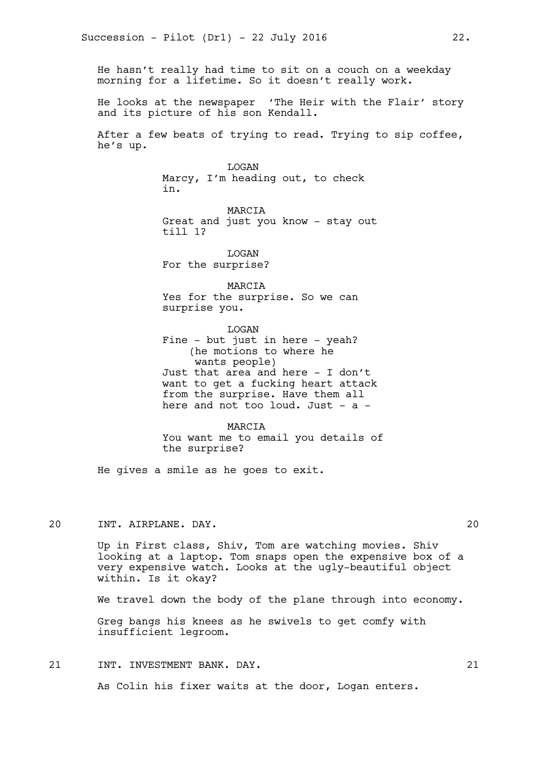He hasn't really had time to sit on a couch on a weekday morning for a lifetime. So it doesn't really work.

He looks at the newspaper 'The Heir with the Flair' story and its picture of his son Kendall.

After a few beats of trying to read. Trying to sip coffee, he's up.

> LOGAN Marcy, I'm heading out, to check in.

MARCIA Great and just you know - stay out till 1?

LOGAN For the surprise?

MARCIA Yes for the surprise. So we can surprise you.

LOGAN Fine - but just in here - yeah? (he motions to where he wants people) Just that area and here - I don't want to get a fucking heart attack from the surprise. Have them all here and not too loud. Just - a -

MARCIA You want me to email you details of the surprise?

He gives a smile as he goes to exit.

20 INT. AIRPLANE. DAY. 20

Up in First class, Shiv, Tom are watching movies. Shiv looking at a laptop. Tom snaps open the expensive box of a very expensive watch. Looks at the ugly-beautiful object within. Is it okay?

We travel down the body of the plane through into economy.

Greg bangs his knees as he swivels to get comfy with insufficient legroom.

21 INT. INVESTMENT BANK. DAY. 21 22

As Colin his fixer waits at the door, Logan enters.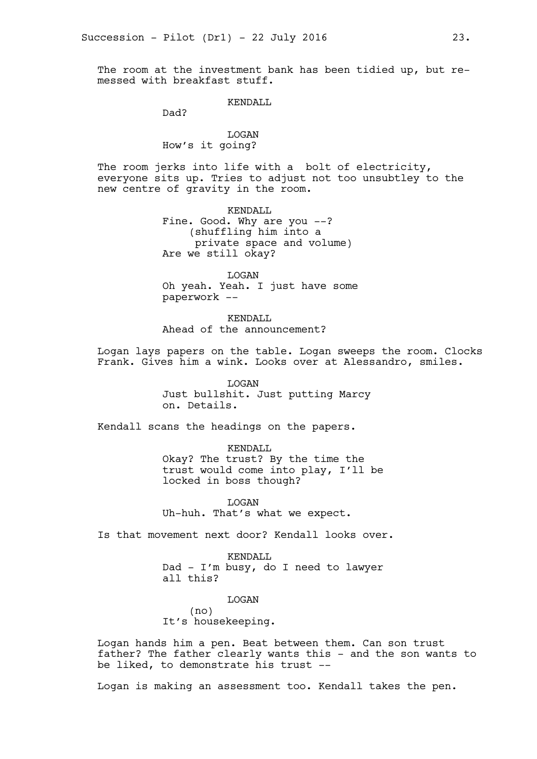The room at the investment bank has been tidied up, but remessed with breakfast stuff.

#### KENDALL

Dad?

# LOGAN How's it going?

The room jerks into life with a bolt of electricity, everyone sits up. Tries to adjust not too unsubtley to the new centre of gravity in the room.

> KENDALL Fine. Good. Why are you --? (shuffling him into a private space and volume) Are we still okay?

LOGAN Oh yeah. Yeah. I just have some paperwork --

KENDALL Ahead of the announcement?

Logan lays papers on the table. Logan sweeps the room. Clocks Frank. Gives him a wink. Looks over at Alessandro, smiles.

> LOGAN Just bullshit. Just putting Marcy on. Details.

Kendall scans the headings on the papers.

KENDALL Okay? The trust? By the time the trust would come into play, I'll be locked in boss though?

LOGAN Uh-huh. That's what we expect.

Is that movement next door? Kendall looks over.

KENDALL Dad - I'm busy, do I need to lawyer all this?

LOGAN (no) It's housekeeping.

Logan hands him a pen. Beat between them. Can son trust father? The father clearly wants this - and the son wants to be liked, to demonstrate his trust --

Logan is making an assessment too. Kendall takes the pen.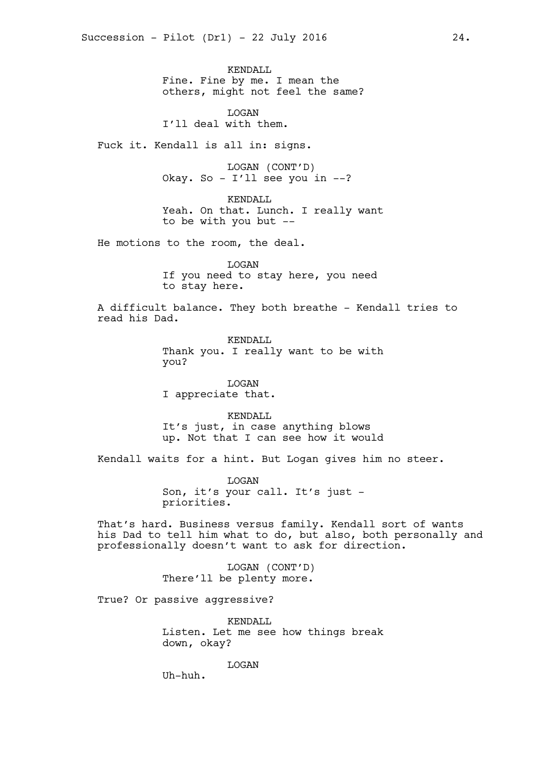KENDALL Fine. Fine by me. I mean the others, might not feel the same?

LOGAN I'll deal with them.

Fuck it. Kendall is all in: signs.

LOGAN (CONT'D) Okay. So - I'll see you in --?

KENDALL Yeah. On that. Lunch. I really want to be with you but --

He motions to the room, the deal.

LOGAN If you need to stay here, you need to stay here.

A difficult balance. They both breathe - Kendall tries to read his Dad.

> KENDALL Thank you. I really want to be with you?

LOGAN I appreciate that.

KENDALL It's just, in case anything blows up. Not that I can see how it would

Kendall waits for a hint. But Logan gives him no steer.

LOGAN Son, it's your call. It's just priorities.

That's hard. Business versus family. Kendall sort of wants his Dad to tell him what to do, but also, both personally and professionally doesn't want to ask for direction.

> LOGAN (CONT'D) There'll be plenty more.

True? Or passive aggressive?

KENDALL Listen. Let me see how things break down, okay?

LOGAN

Uh-huh.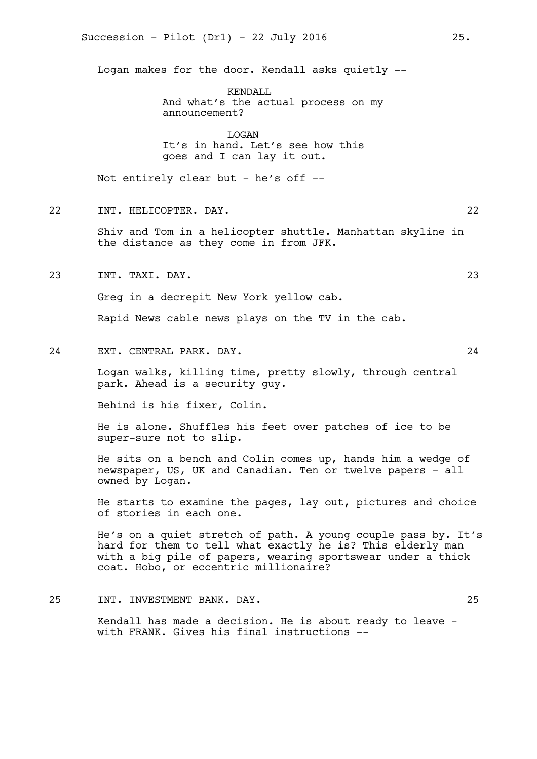Logan makes for the door. Kendall asks quietly --

KENDALL And what's the actual process on my announcement?

LOGAN It's in hand. Let's see how this goes and I can lay it out.

Not entirely clear but - he's off  $-$ -

22 INT. HELICOPTER. DAY. 22

Shiv and Tom in a helicopter shuttle. Manhattan skyline in the distance as they come in from JFK.

23 INT. TAXI. DAY. 23

Greg in a decrepit New York yellow cab.

Rapid News cable news plays on the TV in the cab.

24 EXT. CENTRAL PARK. DAY. 24

Logan walks, killing time, pretty slowly, through central park. Ahead is a security guy.

Behind is his fixer, Colin.

He is alone. Shuffles his feet over patches of ice to be super-sure not to slip.

He sits on a bench and Colin comes up, hands him a wedge of newspaper, US, UK and Canadian. Ten or twelve papers - all owned by Logan.

He starts to examine the pages, lay out, pictures and choice of stories in each one.

He's on a quiet stretch of path. A young couple pass by. It's hard for them to tell what exactly he is? This elderly man with a big pile of papers, wearing sportswear under a thick coat. Hobo, or eccentric millionaire?

25 INT. INVESTMENT BANK. DAY. 25

Kendall has made a decision. He is about ready to leave with FRANK. Gives his final instructions --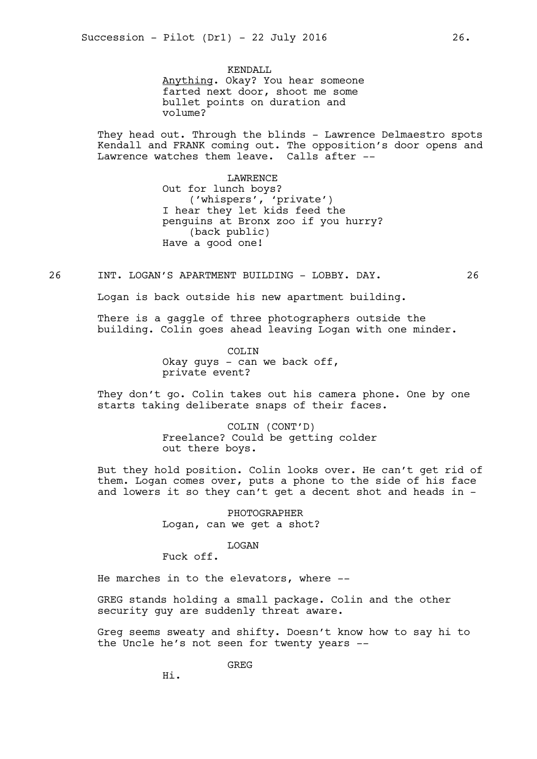KENDALL Anything. Okay? You hear someone farted next door, shoot me some bullet points on duration and volume?

They head out. Through the blinds - Lawrence Delmaestro spots Kendall and FRANK coming out. The opposition's door opens and Lawrence watches them leave. Calls after --

> **LAWRENCE** Out for lunch boys? ('whispers', 'private') I hear they let kids feed the penguins at Bronx zoo if you hurry? (back public) Have a good one!

26 INT. LOGAN'S APARTMENT BUILDING - LOBBY. DAY. 26

Logan is back outside his new apartment building.

There is a gaggle of three photographers outside the building. Colin goes ahead leaving Logan with one minder.

> COLIN Okay guys - can we back off, private event?

They don't go. Colin takes out his camera phone. One by one starts taking deliberate snaps of their faces.

> COLIN (CONT'D) Freelance? Could be getting colder out there boys.

But they hold position. Colin looks over. He can't get rid of them. Logan comes over, puts a phone to the side of his face and lowers it so they can't get a decent shot and heads in -

> PHOTOGRAPHER Logan, can we get a shot?

> > LOGAN

Fuck off.

He marches in to the elevators, where --

GREG stands holding a small package. Colin and the other security guy are suddenly threat aware.

Greg seems sweaty and shifty. Doesn't know how to say hi to the Uncle he's not seen for twenty years --

GREG

Hi.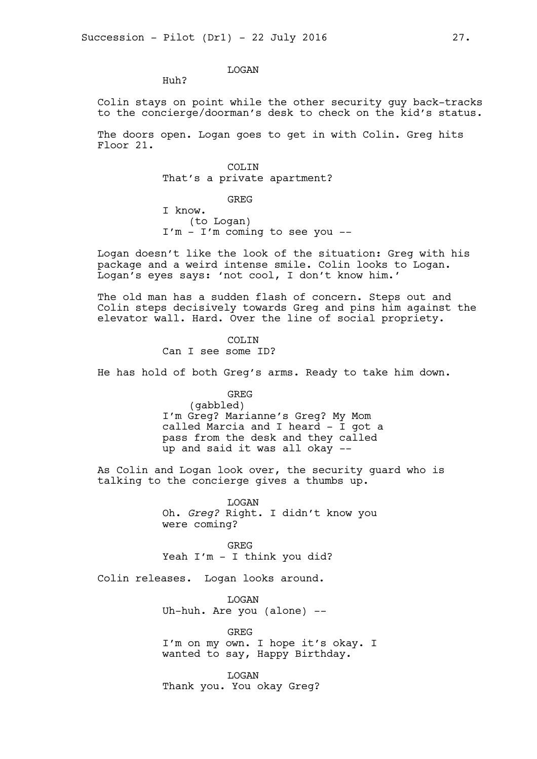# LOGAN

Huh?

Colin stays on point while the other security guy back-tracks to the concierge/doorman's desk to check on the kid's status.

The doors open. Logan goes to get in with Colin. Greg hits Floor 21.

> COLIN That's a private apartment?

GREG I know. (to Logan) I'm - I'm coming to see you --

Logan doesn't like the look of the situation: Greg with his package and a weird intense smile. Colin looks to Logan. Logan's eyes says: 'not cool, I don't know him.'

The old man has a sudden flash of concern. Steps out and Colin steps decisively towards Greg and pins him against the elevator wall. Hard. Over the line of social propriety.

> COLIN Can I see some ID?

He has hold of both Greg's arms. Ready to take him down.

GREG (gabbled) I'm Greg? Marianne's Greg? My Mom called Marcia and I heard - I got a pass from the desk and they called up and said it was all okay --

As Colin and Logan look over, the security guard who is talking to the concierge gives a thumbs up.

> LOGAN Oh. *Greg?* Right. I didn't know you were coming?

GREG Yeah I'm - I think you did?

Colin releases. Logan looks around.

**T.OGAN** Uh-huh. Are you (alone) --

GREG I'm on my own. I hope it's okay. I wanted to say, Happy Birthday.

LOGAN Thank you. You okay Greg?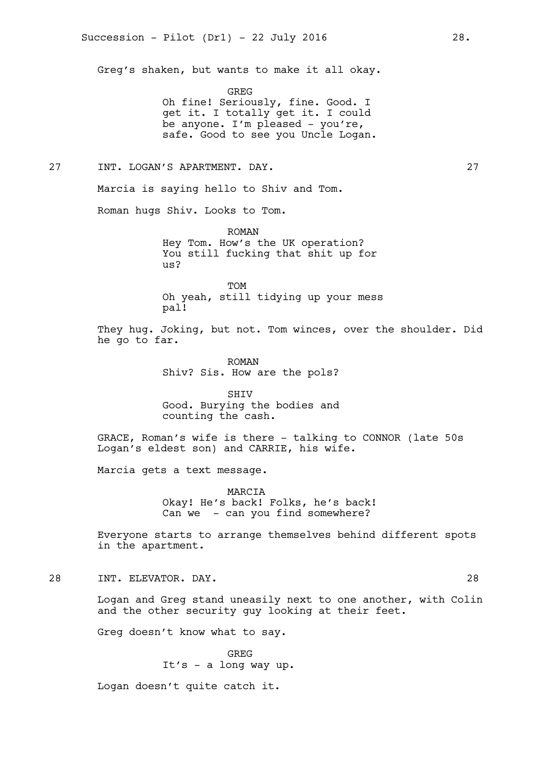Greg's shaken, but wants to make it all okay.

GREG

Oh fine! Seriously, fine. Good. I get it. I totally get it. I could be anyone. I'm pleased - you're, safe. Good to see you Uncle Logan.

27 INT. LOGAN'S APARTMENT. DAY. 27

Marcia is saying hello to Shiv and Tom.

Roman hugs Shiv. Looks to Tom.

ROMAN Hey Tom. How's the UK operation? You still fucking that shit up for us?

TOM Oh yeah, still tidying up your mess pal!

They hug. Joking, but not. Tom winces, over the shoulder. Did he go to far.

> ROMAN Shiv? Sis. How are the pols?

> SHIV Good. Burying the bodies and counting the cash.

GRACE, Roman's wife is there - talking to CONNOR (late 50s Logan's eldest son) and CARRIE, his wife.

Marcia gets a text message.

MARCIA Okay! He's back! Folks, he's back! Can we - can you find somewhere?

Everyone starts to arrange themselves behind different spots in the apartment.

28 INT. ELEVATOR. DAY. 28

Logan and Greg stand uneasily next to one another, with Colin and the other security guy looking at their feet.

Greg doesn't know what to say.

GREG It's - a long way up.

Logan doesn't quite catch it.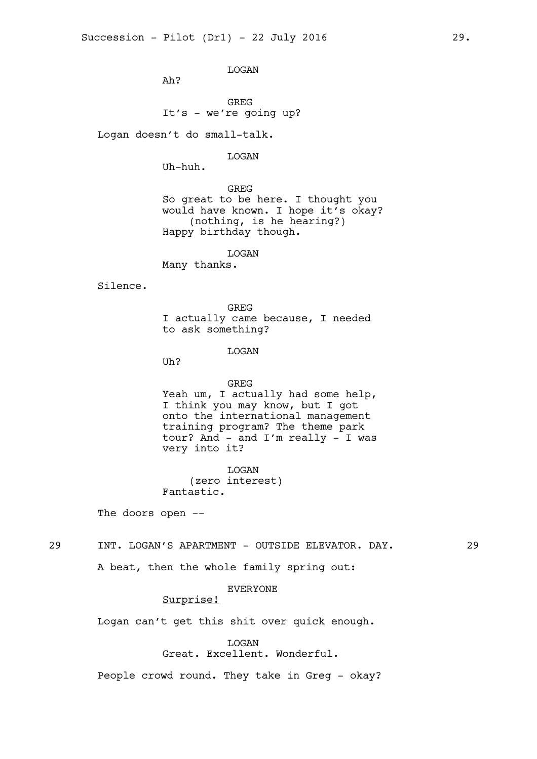LOGAN

Ah?

GREG It's - we're going up?

Logan doesn't do small-talk.

LOGAN

Uh-huh.

GREG So great to be here. I thought you would have known. I hope it's okay? (nothing, is he hearing?) Happy birthday though.

LOGAN

Many thanks.

Silence.

GREG I actually came because, I needed to ask something?

LOGAN

Uh?

#### GREG

Yeah um, I actually had some help, I think you may know, but I got onto the international management training program? The theme park tour? And  $-$  and I'm really  $-$  I was very into it?

LOGAN (zero interest) Fantastic.

The doors open --

29 INT. LOGAN'S APARTMENT - OUTSIDE ELEVATOR. DAY. 29

A beat, then the whole family spring out:

# EVERYONE

# Surprise!

Logan can't get this shit over quick enough.

#### **T<sub>I</sub>OGAN**

Great. Excellent. Wonderful.

People crowd round. They take in Greg - okay?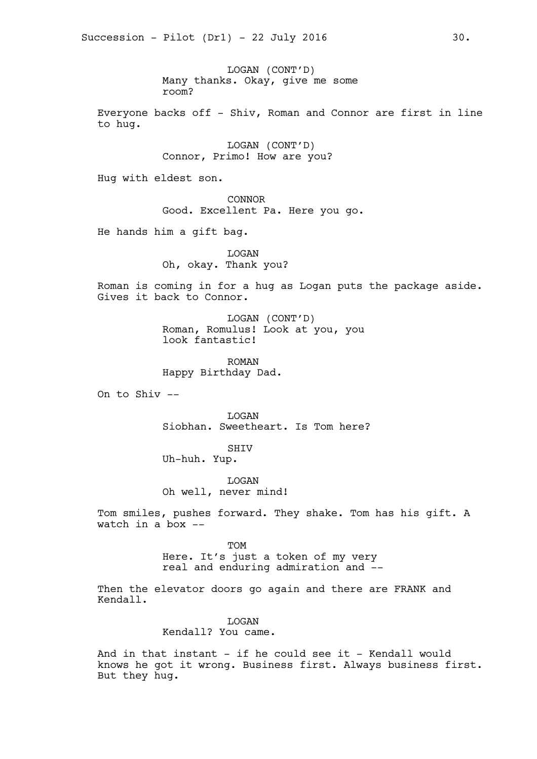LOGAN (CONT'D) Many thanks. Okay, give me some room?

Everyone backs off - Shiv, Roman and Connor are first in line to hug.

> LOGAN (CONT'D) Connor, Primo! How are you?

Hug with eldest son.

CONNOR Good. Excellent Pa. Here you go.

He hands him a gift bag.

LOGAN Oh, okay. Thank you?

Roman is coming in for a hug as Logan puts the package aside. Gives it back to Connor.

> LOGAN (CONT'D) Roman, Romulus! Look at you, you look fantastic!

ROMAN Happy Birthday Dad.

On to Shiv --

LOGAN Siobhan. Sweetheart. Is Tom here?

SHIV

Uh-huh. Yup.

LOGAN Oh well, never mind!

Tom smiles, pushes forward. They shake. Tom has his gift. A watch in a box --

> **TOM** Here. It's just a token of my very real and enduring admiration and --

Then the elevator doors go again and there are FRANK and Kendall.

> **T.OGAN** Kendall? You came.

And in that instant - if he could see it - Kendall would knows he got it wrong. Business first. Always business first. But they hug.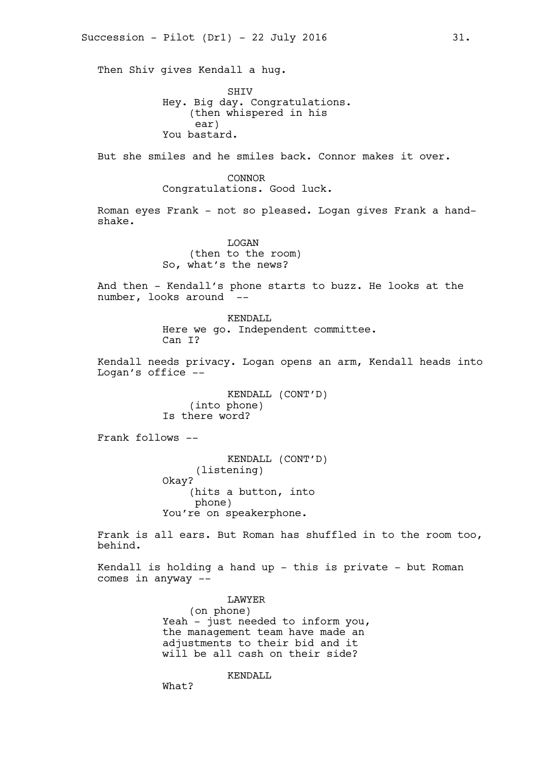Then Shiv gives Kendall a hug.

SHIV Hey. Big day. Congratulations. (then whispered in his ear) You bastard.

But she smiles and he smiles back. Connor makes it over.

CONNOR Congratulations. Good luck.

Roman eyes Frank - not so pleased. Logan gives Frank a handshake.

> LOGAN (then to the room) So, what's the news?

And then - Kendall's phone starts to buzz. He looks at the number, looks around

> KENDALL Here we go. Independent committee. Can I?

Kendall needs privacy. Logan opens an arm, Kendall heads into Logan's office --

> KENDALL (CONT'D) (into phone) Is there word?

Frank follows --

KENDALL (CONT'D) (listening) Okay? (hits a button, into phone) You're on speakerphone.

Frank is all ears. But Roman has shuffled in to the room too, behind.

Kendall is holding a hand up - this is private - but Roman comes in anyway --

> LAWYER (on phone) Yeah - just needed to inform you, the management team have made an adjustments to their bid and it will be all cash on their side?

> > KENDALL

What?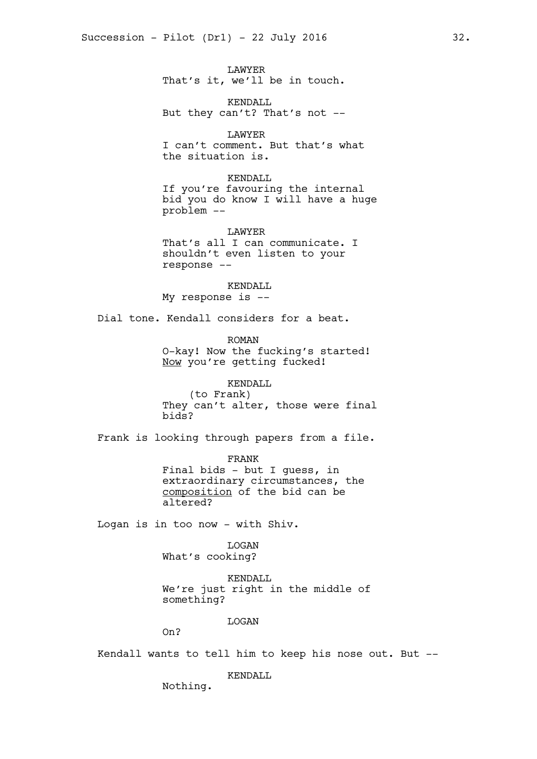LAWYER That's it, we'll be in touch.

KENDALL But they can't? That's not --

LAWYER I can't comment. But that's what the situation is.

KENDALL If you're favouring the internal bid you do know I will have a huge problem --

LAWYER That's all I can communicate. I shouldn't even listen to your response --

KENDALL My response is --

Dial tone. Kendall considers for a beat.

ROMAN O-kay! Now the fucking's started! Now you're getting fucked!

KENDALL (to Frank) They can't alter, those were final bids?

Frank is looking through papers from a file.

FRANK Final bids - but I guess, in extraordinary circumstances, the composition of the bid can be altered?

Logan is in too now - with Shiv.

LOGAN What's cooking?

KENDALL We're just right in the middle of something?

LOGAN

On?

Kendall wants to tell him to keep his nose out. But --

KENDALL

Nothing.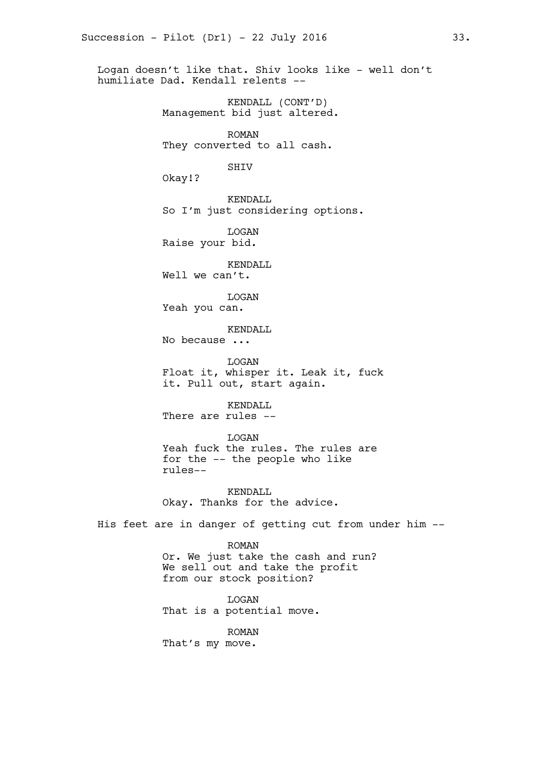Logan doesn't like that. Shiv looks like - well don't humiliate Dad. Kendall relents --

> KENDALL (CONT'D) Management bid just altered.

ROMAN They converted to all cash.

SHIV

Okay!?

KENDALL So I'm just considering options.

LOGAN Raise your bid.

KENDALL Well we can't.

LOGAN Yeah you can.

KENDALL

No because ...

LOGAN Float it, whisper it. Leak it, fuck it. Pull out, start again.

KENDALL There are rules --

LOGAN Yeah fuck the rules. The rules are for the -- the people who like rules--

KENDALL Okay. Thanks for the advice.

His feet are in danger of getting cut from under him --

ROMAN Or. We just take the cash and run? We sell out and take the profit from our stock position?

**T.OGAN** That is a potential move.

ROMAN That's my move.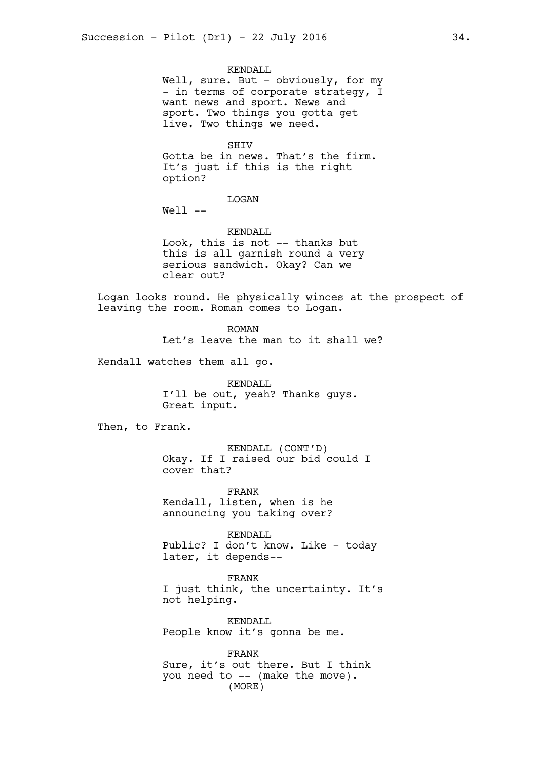KENDALL Well, sure. But - obviously, for my - in terms of corporate strategy, I want news and sport. News and sport. Two things you gotta get live. Two things we need.

**SHTV** Gotta be in news. That's the firm. It's just if this is the right option?

LOGAN

Well --

KENDALL Look, this is not -- thanks but this is all garnish round a very serious sandwich. Okay? Can we clear out?

Logan looks round. He physically winces at the prospect of leaving the room. Roman comes to Logan.

> ROMAN Let's leave the man to it shall we?

Kendall watches them all go.

KENDALL I'll be out, yeah? Thanks guys. Great input.

Then, to Frank.

KENDALL (CONT'D) Okay. If I raised our bid could I cover that?

FRANK Kendall, listen, when is he announcing you taking over?

KENDALL Public? I don't know. Like - today later, it depends--

FRANK I just think, the uncertainty. It's not helping.

KENDALL People know it's gonna be me.

FRANK Sure, it's out there. But I think you need to -- (make the move). (MORE)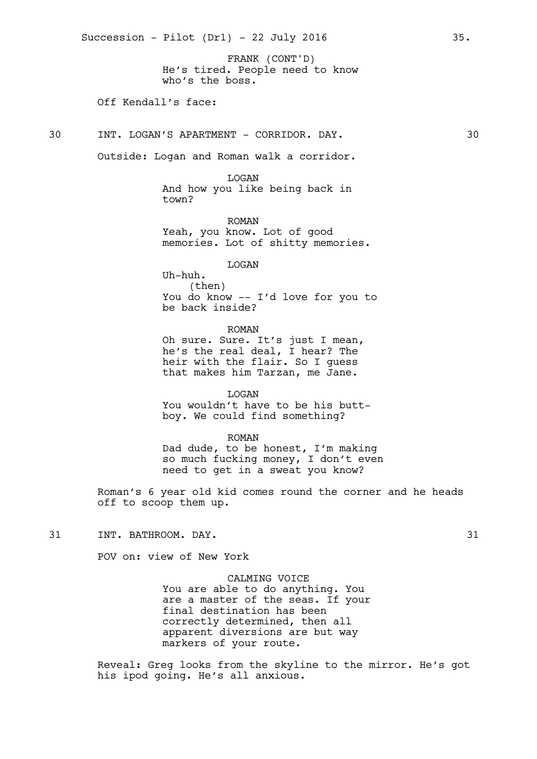He's tired. People need to know who's the boss. FRANK (CONT'D)

# Off Kendall's face:

30 INT. LOGAN'S APARTMENT - CORRIDOR. DAY. 30

Outside: Logan and Roman walk a corridor.

LOGAN And how you like being back in town?

ROMAN Yeah, you know. Lot of good memories. Lot of shitty memories.

LOGAN

Uh-huh. (then) You do know -- I'd love for you to be back inside?

ROMAN

Oh sure. Sure. It's just I mean, he's the real deal, I hear? The heir with the flair. So I guess that makes him Tarzan, me Jane.

LOGAN You wouldn't have to be his buttboy. We could find something?

ROMAN Dad dude, to be honest, I'm making so much fucking money, I don't even need to get in a sweat you know?

Roman's 6 year old kid comes round the corner and he heads off to scoop them up.

31 INT. BATHROOM. DAY. 31

POV on: view of New York

CALMING VOICE You are able to do anything. You are a master of the seas. If your final destination has been correctly determined, then all apparent diversions are but way markers of your route.

Reveal: Greg looks from the skyline to the mirror. He's got his ipod going. He's all anxious.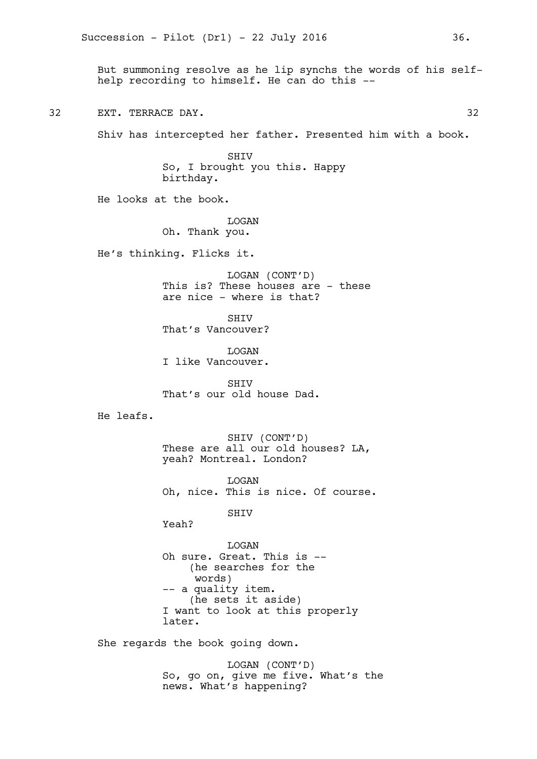But summoning resolve as he lip synchs the words of his selfhelp recording to himself. He can do this --

32 EXT. TERRACE DAY. 32

Shiv has intercepted her father. Presented him with a book.

SHIV So, I brought you this. Happy birthday.

He looks at the book.

LOGAN Oh. Thank you.

He's thinking. Flicks it.

LOGAN (CONT'D) This is? These houses are - these are nice - where is that?

SHIV That's Vancouver?

LOGAN I like Vancouver.

SHIV That's our old house Dad.

He leafs.

SHIV (CONT'D) These are all our old houses? LA, yeah? Montreal. London?

LOGAN Oh, nice. This is nice. Of course.

SHIV

Yeah?

LOGAN Oh sure. Great. This is -- (he searches for the words) -- a quality item. (he sets it aside) I want to look at this properly later.

She regards the book going down.

LOGAN (CONT'D) So, go on, give me five. What's the news. What's happening?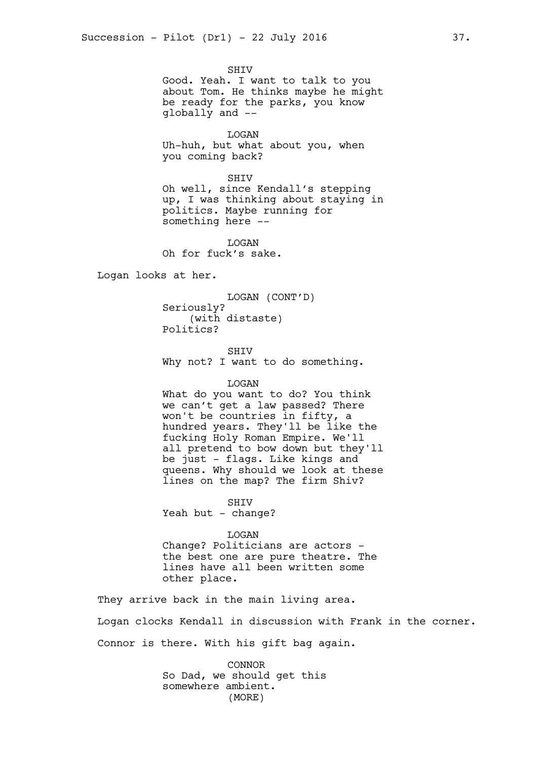SHIV Good. Yeah. I want to talk to you about Tom. He thinks maybe he might be ready for the parks, you know globally and --

LOGAN Uh-huh, but what about you, when you coming back?

SHIV

Oh well, since Kendall's stepping up, I was thinking about staying in politics. Maybe running for something here --

LOGAN Oh for fuck's sake.

Logan looks at her.

LOGAN (CONT'D) Seriously? (with distaste) Politics?

SHIV Why not? I want to do something.

#### LOGAN

What do you want to do? You think we can't get a law passed? There won't be countries in fifty, a hundred years. They'll be like the fucking Holy Roman Empire. We'll all pretend to bow down but they'll be just - flags. Like kings and queens. Why should we look at these lines on the map? The firm Shiv?

SHIV

Yeah but - change?

LOGAN

Change? Politicians are actors the best one are pure theatre. The lines have all been written some other place.

They arrive back in the main living area. Logan clocks Kendall in discussion with Frank in the corner.

Connor is there. With his gift bag again.

CONNOR So Dad, we should get this somewhere ambient. (MORE)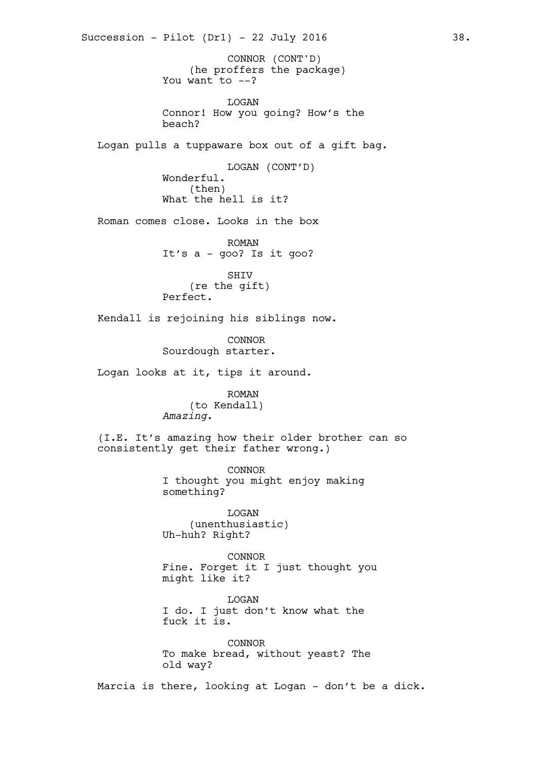(he proffers the package) You want to  $--?$ LOGAN Connor! How you going? How's the beach? Logan pulls a tuppaware box out of a gift bag. LOGAN (CONT'D) Wonderful. (then) What the hell is it? Roman comes close. Looks in the box ROMAN It's a - goo? Is it goo? SHIV (re the gift) Perfect. Kendall is rejoining his siblings now. CONNOR Sourdough starter. Logan looks at it, tips it around. ROMAN (to Kendall) *Amazing*. (I.E. It's amazing how their older brother can so consistently get their father wrong.) CONNOR I thought you might enjoy making something? LOGAN (unenthusiastic) Uh-huh? Right? CONNOR Fine. Forget it I just thought you might like it? **T.OGAN** I do. I just don't know what the fuck it is. CONNOR To make bread, without yeast? The old way? Marcia is there, looking at Logan - don't be a dick. Succession - Pilot  $(Dr1)$  - 22 July 2016 38. CONNOR (CONT'D)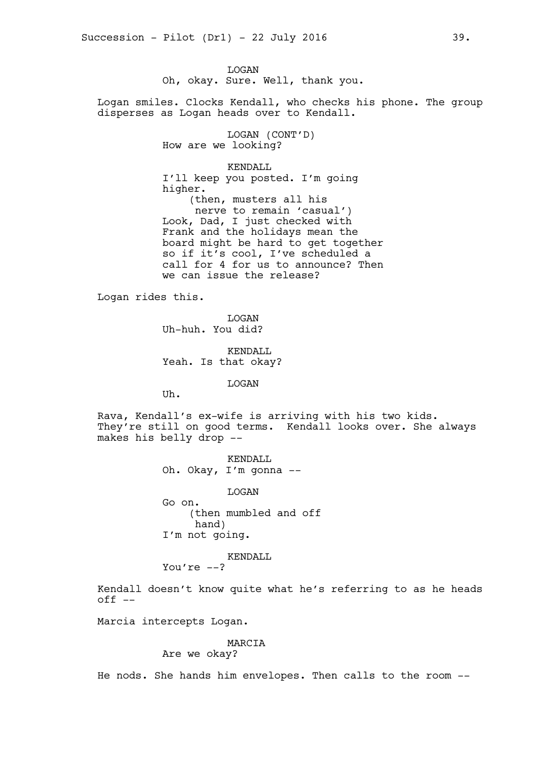LOGAN Oh, okay. Sure. Well, thank you.

Logan smiles. Clocks Kendall, who checks his phone. The group disperses as Logan heads over to Kendall.

> LOGAN (CONT'D) How are we looking?

> > KENDALL

I'll keep you posted. I'm going higher. (then, musters all his nerve to remain 'casual') Look, Dad, I just checked with Frank and the holidays mean the board might be hard to get together so if it's cool, I've scheduled a call for 4 for us to announce? Then we can issue the release?

Logan rides this.

LOGAN Uh-huh. You did?

KENDALL Yeah. Is that okay?

LOGAN

Uh.

Rava, Kendall's ex-wife is arriving with his two kids. They're still on good terms. Kendall looks over. She always makes his belly drop --

> KENDALL Oh. Okay, I'm gonna --

LOGAN Go on. (then mumbled and off hand) I'm not going.

KENDALL

You're  $--?$ 

Kendall doesn't know quite what he's referring to as he heads  $off$   $-$ 

Marcia intercepts Logan.

# MARCIA

# Are we okay?

He nods. She hands him envelopes. Then calls to the room --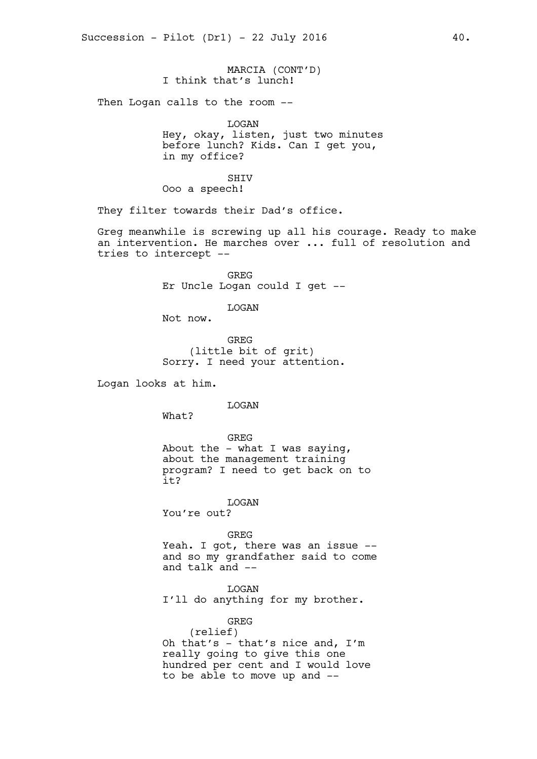MARCIA (CONT'D) I think that's lunch!

Then Logan calls to the room --

LOGAN

Hey, okay, listen, just two minutes before lunch? Kids. Can I get you, in my office?

SHIV

Ooo a speech!

They filter towards their Dad's office.

Greg meanwhile is screwing up all his courage. Ready to make an intervention. He marches over ... full of resolution and tries to intercept --

> GREG Er Uncle Logan could I get --

> > LOGAN

Not now.

GREG (little bit of grit) Sorry. I need your attention.

Logan looks at him.

LOGAN

What?

GREG About the  $-$  what I was saying, about the management training program? I need to get back on to it?

LOGAN You're out?

GREG

Yeah. I got, there was an issue - and so my grandfather said to come and talk and --

LOGAN I'll do anything for my brother.

GREG

(relief) Oh that's - that's nice and, I'm really going to give this one hundred per cent and I would love to be able to move up and --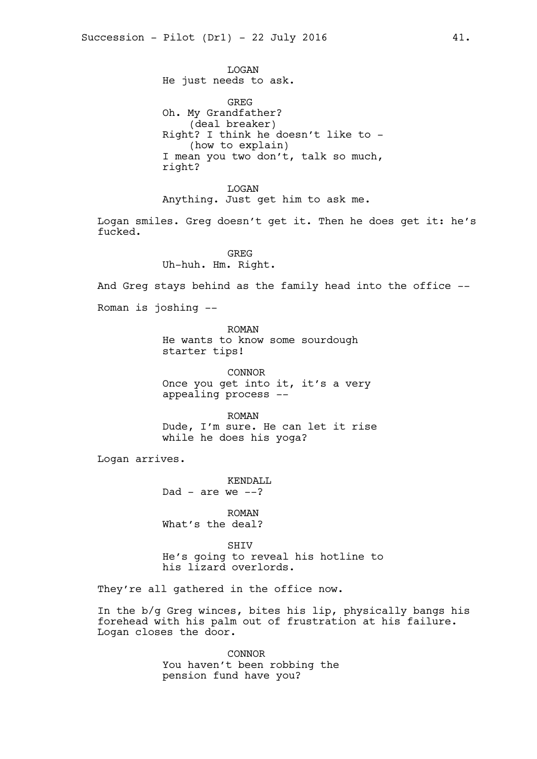LOGAN He just needs to ask.

GREG Oh. My Grandfather? (deal breaker) Right? I think he doesn't like to - (how to explain) I mean you two don't, talk so much, right?

LOGAN Anything. Just get him to ask me.

Logan smiles. Greg doesn't get it. Then he does get it: he's fucked.

> **GREG** Uh-huh. Hm. Right.

And Greg stays behind as the family head into the office --

Roman is joshing --

ROMAN

He wants to know some sourdough starter tips!

CONNOR Once you get into it, it's a very appealing process --

ROMAN Dude, I'm sure. He can let it rise while he does his yoga?

Logan arrives.

KENDALL Dad - are we  $--?$ 

ROMAN What's the deal?

SHIV He's going to reveal his hotline to his lizard overlords.

They're all gathered in the office now.

In the b/g Greg winces, bites his lip, physically bangs his forehead with his palm out of frustration at his failure. Logan closes the door.

> CONNOR You haven't been robbing the pension fund have you?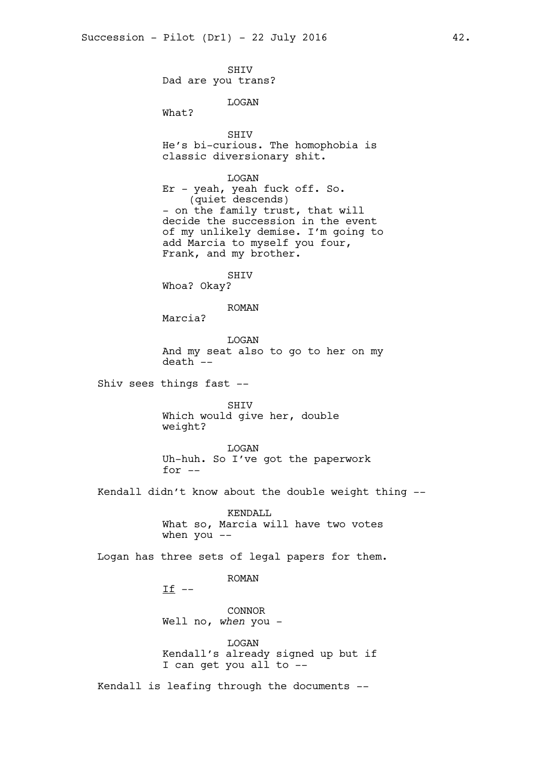SHIV Dad are you trans?

LOGAN

What?

SHIV

He's bi-curious. The homophobia is classic diversionary shit.

LOGAN Er - yeah, yeah fuck off. So. (quiet descends) - on the family trust, that will decide the succession in the event of my unlikely demise. I'm going to add Marcia to myself you four, Frank, and my brother.

SHIV

Whoa? Okay?

ROMAN

Marcia?

LOGAN And my seat also to go to her on my death --

Shiv sees things fast --

SHIV Which would give her, double weight?

LOGAN Uh-huh. So I've got the paperwork for --

Kendall didn't know about the double weight thing --

KENDALL What so, Marcia will have two votes when  $you --$ 

Logan has three sets of legal papers for them.

ROMAN

 $If$   $-$ 

CONNOR Well no, *when* you -

LOGAN Kendall's already signed up but if I can get you all to --

Kendall is leafing through the documents --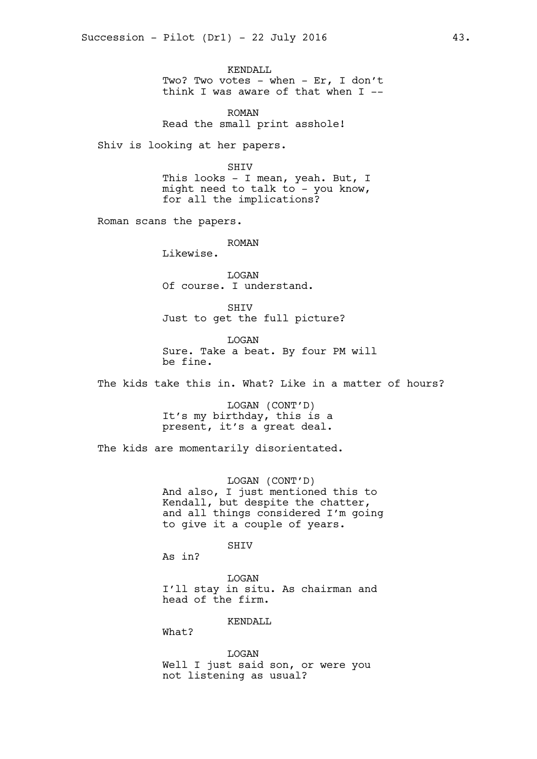KENDALL Two? Two votes - when - Er, I don't think I was aware of that when  $I$  --

ROMAN Read the small print asshole!

Shiv is looking at her papers.

SHIV

This looks - I mean, yeah. But, I might need to talk to - you know, for all the implications?

Roman scans the papers.

ROMAN

Likewise.

LOGAN Of course. I understand.

SHIV Just to get the full picture?

LOGAN Sure. Take a beat. By four PM will be fine.

The kids take this in. What? Like in a matter of hours?

LOGAN (CONT'D) It's my birthday, this is a present, it's a great deal.

The kids are momentarily disorientated.

LOGAN (CONT'D) And also, I just mentioned this to Kendall, but despite the chatter, and all things considered I'm going to give it a couple of years.

SHIV

As in?

**T.OGAN** I'll stay in situ. As chairman and head of the firm.

KENDALL

What?

LOGAN Well I just said son, or were you not listening as usual?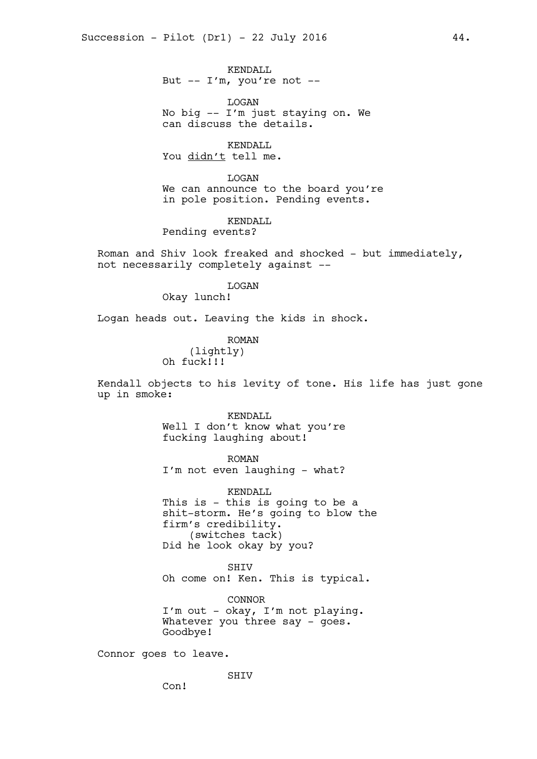KENDALL But  $-- I'm$ , you're not  $--$ 

LOGAN No big -- I'm just staying on. We can discuss the details.

KENDALL You didn't tell me.

LOGAN We can announce to the board you're in pole position. Pending events.

KENDALL Pending events?

Roman and Shiv look freaked and shocked - but immediately, not necessarily completely against --

> LOGAN Okay lunch!

Logan heads out. Leaving the kids in shock.

ROMAN (lightly) Oh fuck!!!

Kendall objects to his levity of tone. His life has just gone up in smoke:

> KENDALL Well I don't know what you're fucking laughing about!

> ROMAN I'm not even laughing - what?

KENDALL This is - this is going to be a shit-storm. He's going to blow the firm's credibility. (switches tack) Did he look okay by you?

**SHTV** Oh come on! Ken. This is typical.

CONNOR I'm out - okay, I'm not playing. Whatever you three say - goes. Goodbye!

Connor goes to leave.

SHIV

Con!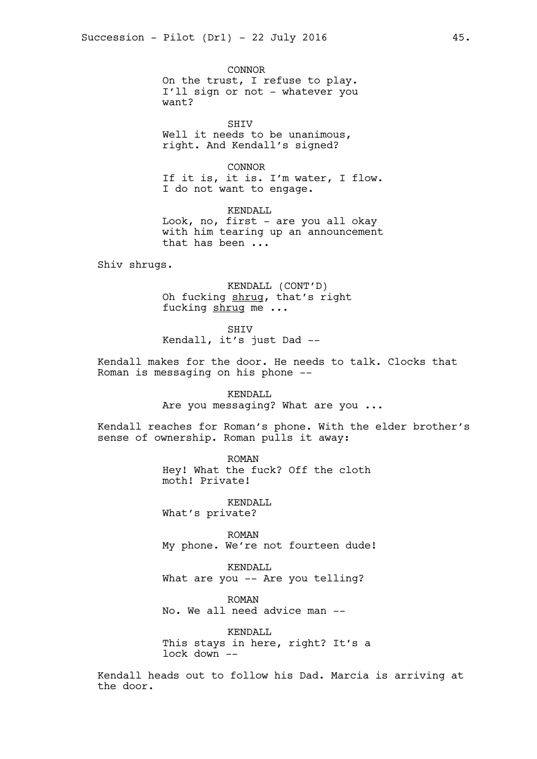CONNOR On the trust, I refuse to play. I'll sign or not - whatever you want?

SHIV Well it needs to be unanimous, right. And Kendall's signed?

CONNOR If it is, it is. I'm water, I flow. I do not want to engage.

KENDALL Look, no, first - are you all okay with him tearing up an announcement that has been ...

Shiv shrugs.

KENDALL (CONT'D) Oh fucking shrug, that's right fucking shrug me ...

SHIV

Kendall, it's just Dad --

Kendall makes for the door. He needs to talk. Clocks that Roman is messaging on his phone --

> KENDALL Are you messaging? What are you ...

Kendall reaches for Roman's phone. With the elder brother's sense of ownership. Roman pulls it away:

> ROMAN Hey! What the fuck? Off the cloth moth! Private!

KENDALL What's private?

ROMAN My phone. We're not fourteen dude!

KENDALL What are you -- Are you telling?

ROMAN No. We all need advice man --

KENDALL This stays in here, right? It's a lock down --

Kendall heads out to follow his Dad. Marcia is arriving at the door.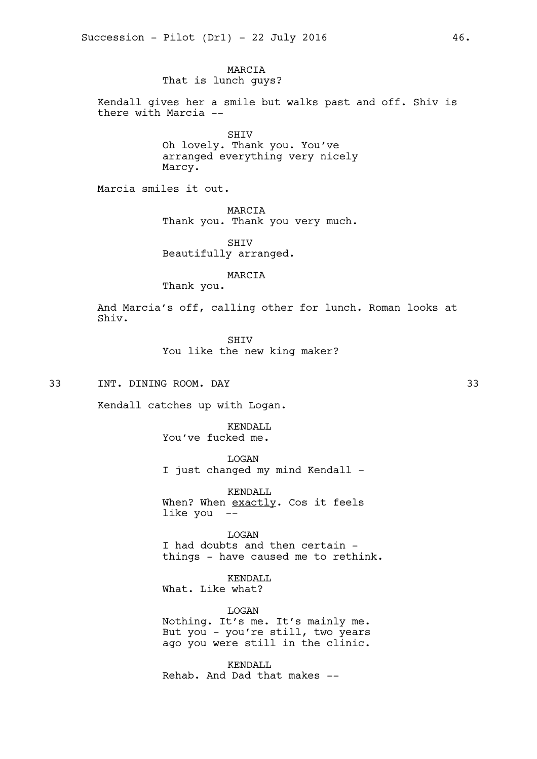MARCIA That is lunch guys?

Kendall gives her a smile but walks past and off. Shiv is there with Marcia --

> SHIV Oh lovely. Thank you. You've arranged everything very nicely Marcy.

Marcia smiles it out.

MARCIA Thank you. Thank you very much.

SHIV Beautifully arranged.

MARCIA

Thank you.

And Marcia's off, calling other for lunch. Roman looks at Shiv.

> SHIV You like the new king maker?

33 INT. DINING ROOM. DAY 33

Kendall catches up with Logan.

KENDALL You've fucked me.

LOGAN I just changed my mind Kendall -

KENDALL When? When exactly. Cos it feels like you --

LOGAN I had doubts and then certain things - have caused me to rethink.

KENDALL What. Like what?

LOGAN Nothing. It's me. It's mainly me. But you - you're still, two years ago you were still in the clinic.

KENDALL Rehab. And Dad that makes --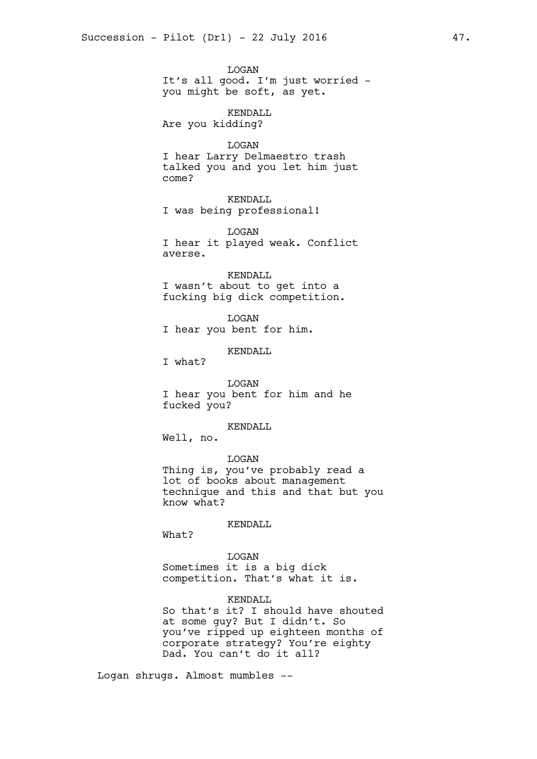LOGAN It's all good. I'm just worried you might be soft, as yet.

KENDALL Are you kidding?

**T.OGAN** I hear Larry Delmaestro trash talked you and you let him just come?

KENDALL I was being professional!

LOGAN I hear it played weak. Conflict averse.

KENDALL I wasn't about to get into a fucking big dick competition.

LOGAN I hear you bent for him.

KENDALL

I what?

LOGAN I hear you bent for him and he fucked you?

KENDALL

Well, no.

LOGAN Thing is, you've probably read a lot of books about management technique and this and that but you know what?

KENDALL

What?

LOGAN Sometimes it is a big dick competition. That's what it is.

## KENDALL

So that's it? I should have shouted at some guy? But I didn't. So you've ripped up eighteen months of corporate strategy? You're eighty Dad. You can't do it all?

Logan shrugs. Almost mumbles --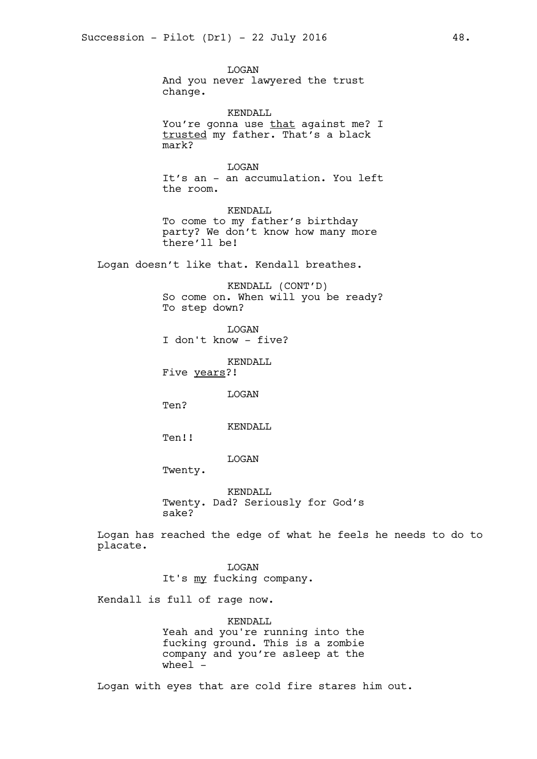LOGAN And you never lawyered the trust change.

KENDALL You're gonna use that against me? I trusted my father. That's a black mark?

LOGAN It's an - an accumulation. You left the room.

KENDALL To come to my father's birthday party? We don't know how many more there'll be!

Logan doesn't like that. Kendall breathes.

KENDALL (CONT'D) So come on. When will you be ready? To step down?

LOGAN

I don't know - five?

KENDALL

Five years?!

LOGAN

Ten?

KENDALL

Ten!!

LOGAN

Twenty.

KENDALL Twenty. Dad? Seriously for God's sake?

Logan has reached the edge of what he feels he needs to do to placate.

> LOGAN It's my fucking company.

Kendall is full of rage now.

KENDALL Yeah and you're running into the fucking ground. This is a zombie company and you're asleep at the wheel -

Logan with eyes that are cold fire stares him out.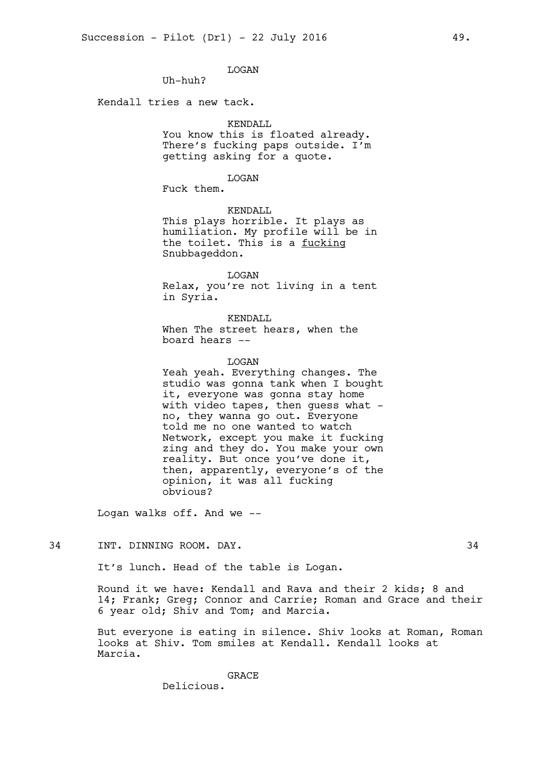LOGAN

Uh-huh?

Kendall tries a new tack.

## KENDALL

You know this is floated already. There's fucking paps outside. I'm getting asking for a quote.

### LOGAN

Fuck them.

KENDALL

This plays horrible. It plays as humiliation. My profile will be in the toilet. This is a fucking Snubbageddon.

LOGAN Relax, you're not living in a tent in Syria.

KENDALL When The street hears, when the board hears --

#### LOGAN

Yeah yeah. Everything changes. The studio was gonna tank when I bought it, everyone was gonna stay home with video tapes, then guess what  $$ no, they wanna go out. Everyone told me no one wanted to watch Network, except you make it fucking zing and they do. You make your own reality. But once you've done it, then, apparently, everyone's of the opinion, it was all fucking obvious?

Logan walks off. And we --

### 34 INT. DINNING ROOM. DAY. 34

It's lunch. Head of the table is Logan.

Round it we have: Kendall and Rava and their 2 kids; 8 and 14; Frank; Greg; Connor and Carrie; Roman and Grace and their 6 year old; Shiv and Tom; and Marcia.

But everyone is eating in silence. Shiv looks at Roman, Roman looks at Shiv. Tom smiles at Kendall. Kendall looks at Marcia.

> GRACE Delicious.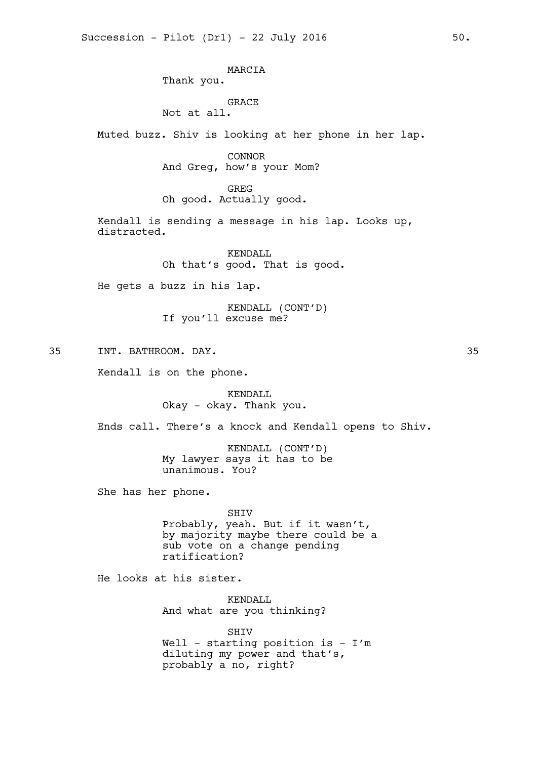MARCIA Thank you. GRACE Not at all. Muted buzz. Shiv is looking at her phone in her lap. CONNOR And Greg, how's your Mom? GREG Oh good. Actually good. Kendall is sending a message in his lap. Looks up, distracted. KENDALL Oh that's good. That is good. He gets a buzz in his lap. KENDALL (CONT'D) If you'll excuse me? 35 INT. BATHROOM. DAY. 35 Kendall is on the phone. KENDALL Okay - okay. Thank you. Ends call. There's a knock and Kendall opens to Shiv. KENDALL (CONT'D) My lawyer says it has to be unanimous. You? She has her phone. SHIV

Probably, yeah. But if it wasn't, by majority maybe there could be a sub vote on a change pending ratification?

He looks at his sister.

KENDALL And what are you thinking?

SHIV Well - starting position is -  $I'm$ diluting my power and that's, probably a no, right?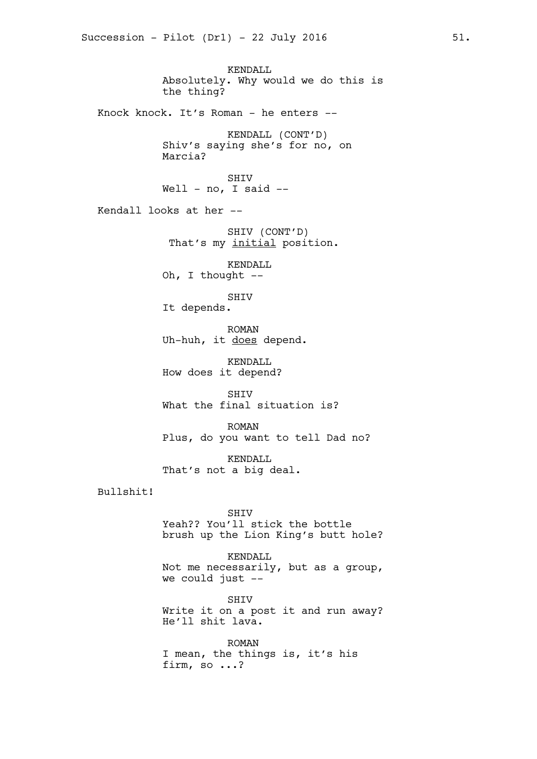KENDALL Absolutely. Why would we do this is the thing? Knock knock. It's Roman - he enters -- KENDALL (CONT'D) Shiv's saying she's for no, on Marcia? SHIV Well -  $no, I said --$ Kendall looks at her -- SHIV (CONT'D) That's my initial position. KENDALL Oh, I thought --SHIV It depends. ROMAN Uh-huh, it does depend. KENDALL How does it depend? SHIV What the final situation is? ROMAN Plus, do you want to tell Dad no? KENDALL That's not a big deal. Bullshit! SHIV Yeah?? You'll stick the bottle brush up the Lion King's butt hole? KENDALL Not me necessarily, but as a group, we could just -- **SHTV** Write it on a post it and run away? He'll shit lava.

> ROMAN I mean, the things is, it's his firm, so ...?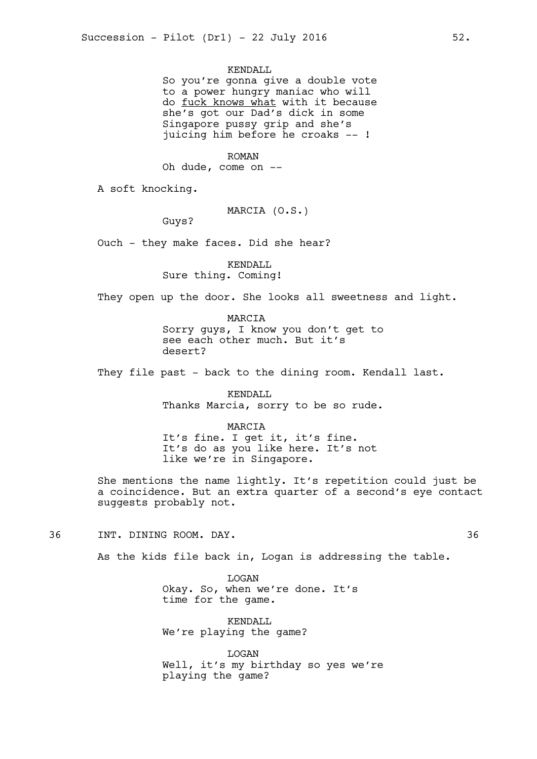KENDALL

So you're gonna give a double vote to a power hungry maniac who will do fuck knows what with it because she's got our Dad's dick in some Singapore pussy grip and she's juicing him before he croaks -- !

ROMAN

Oh dude, come on --

A soft knocking.

MARCIA (O.S.)

Guys?

Ouch - they make faces. Did she hear?

KENDALL Sure thing. Coming!

They open up the door. She looks all sweetness and light.

MARCIA Sorry guys, I know you don't get to see each other much. But it's desert?

They file past - back to the dining room. Kendall last.

KENDALL Thanks Marcia, sorry to be so rude.

MARCIA It's fine. I get it, it's fine. It's do as you like here. It's not like we're in Singapore.

She mentions the name lightly. It's repetition could just be a coincidence. But an extra quarter of a second's eye contact suggests probably not.

36 INT. DINING ROOM. DAY. 36

As the kids file back in, Logan is addressing the table.

**T.OGAN** Okay. So, when we're done. It's time for the game.

KENDALL We're playing the game?

LOGAN Well, it's my birthday so yes we're playing the game?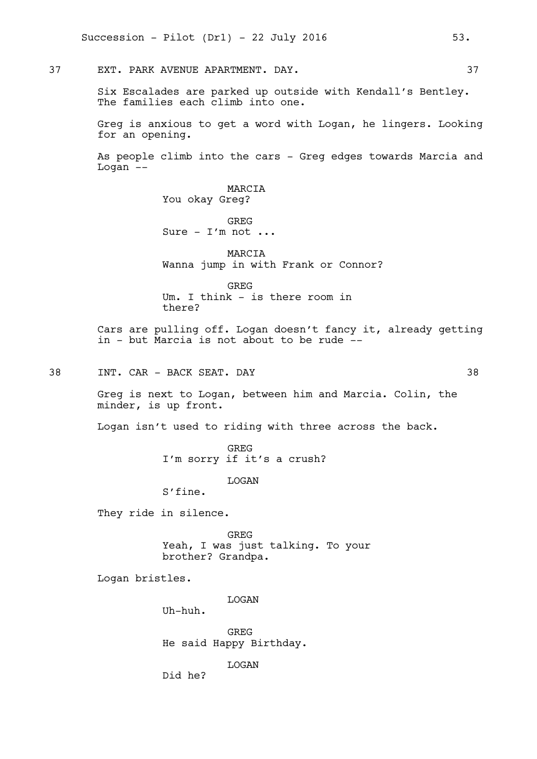37 EXT. PARK AVENUE APARTMENT. DAY. 37

Six Escalades are parked up outside with Kendall's Bentley. The families each climb into one.

Greg is anxious to get a word with Logan, he lingers. Looking for an opening.

As people climb into the cars - Greg edges towards Marcia and Logan --

> MARCIA You okay Greg?

GREG Sure -  $I'm$  not ...

MARCIA Wanna jump in with Frank or Connor?

GREG Um. I think - is there room in there?

Cars are pulling off. Logan doesn't fancy it, already getting in - but Marcia is not about to be rude --

38 INT. CAR - BACK SEAT. DAY 38

Greg is next to Logan, between him and Marcia. Colin, the minder, is up front.

Logan isn't used to riding with three across the back.

GREG I'm sorry if it's a crush?

LOGAN

S'fine.

They ride in silence.

GREG Yeah, I was just talking. To your brother? Grandpa.

Logan bristles.

**T.OGAN** 

Uh-huh.

GREG He said Happy Birthday.

LOGAN

Did he?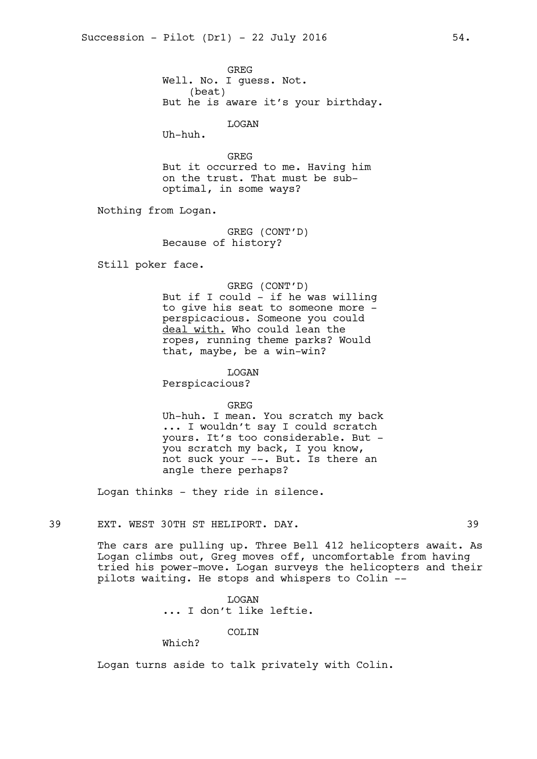GREG Well. No. I guess. Not. (beat) But he is aware it's your birthday.

LOGAN

Uh-huh.

GREG But it occurred to me. Having him on the trust. That must be suboptimal, in some ways?

Nothing from Logan.

GREG (CONT'D) Because of history?

Still poker face.

#### GREG (CONT'D)

But if I could - if he was willing to give his seat to someone more perspicacious. Someone you could deal with. Who could lean the ropes, running theme parks? Would that, maybe, be a win-win?

LOGAN

Perspicacious?

GREG Uh-huh. I mean. You scratch my back ... I wouldn't say I could scratch yours. It's too considerable. But you scratch my back, I you know, not suck your --. But. Is there an angle there perhaps?

Logan thinks - they ride in silence.

## 39 EXT. WEST 30TH ST HELIPORT. DAY. 39

The cars are pulling up. Three Bell 412 helicopters await. As Logan climbs out, Greg moves off, uncomfortable from having tried his power-move. Logan surveys the helicopters and their pilots waiting. He stops and whispers to Colin --

> **T.OGAN** ... I don't like leftie.

> > COLIN

Which?

Logan turns aside to talk privately with Colin.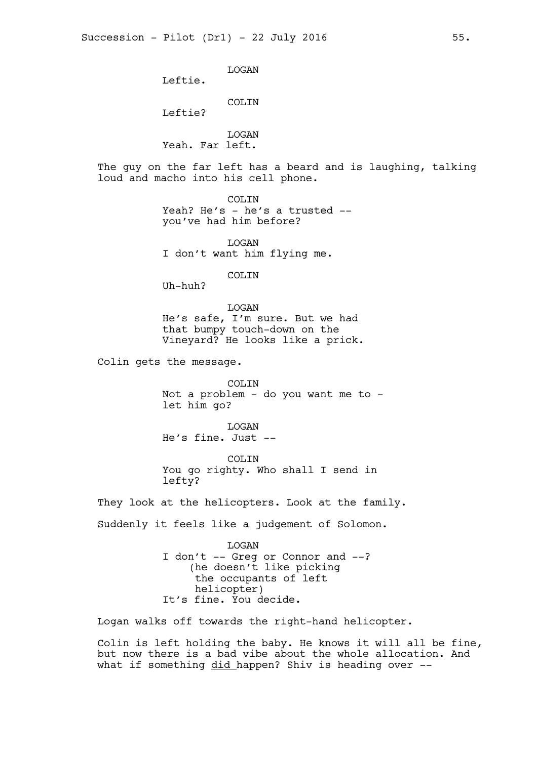LOGAN

Leftie.

COLIN

Leftie?

LOGAN Yeah. Far left.

The guy on the far left has a beard and is laughing, talking loud and macho into his cell phone.

> COLIN Yeah? He's - he's a trusted -you've had him before?

LOGAN I don't want him flying me.

COLIN

Uh-huh?

LOGAN He's safe, I'm sure. But we had that bumpy touch-down on the Vineyard? He looks like a prick.

Colin gets the message.

COLIN Not a problem - do you want me to let him go?

LOGAN He's fine. Just --

COLIN You go righty. Who shall I send in lefty?

They look at the helicopters. Look at the family. Suddenly it feels like a judgement of Solomon.

> LOGAN I don't -- Greg or Connor and --? (he doesn't like picking the occupants of left helicopter) It's fine. You decide.

Logan walks off towards the right-hand helicopter.

Colin is left holding the baby. He knows it will all be fine, but now there is a bad vibe about the whole allocation. And what if something did happen? Shiv is heading over --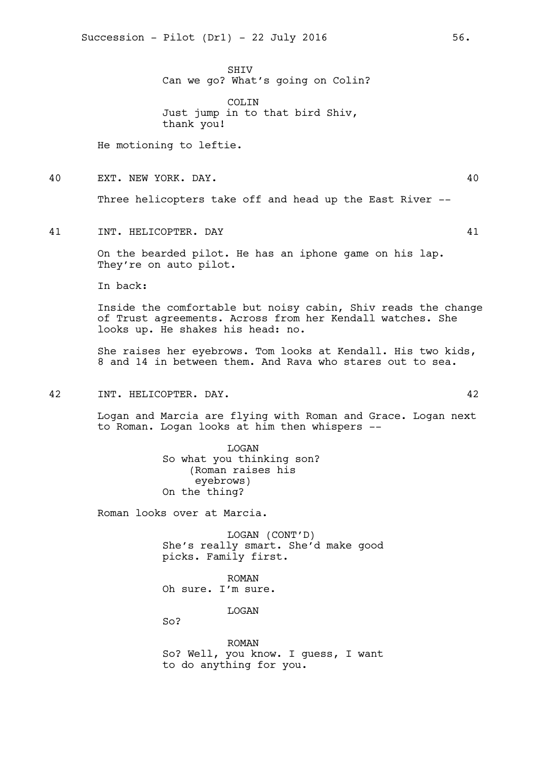SHIV Can we go? What's going on Colin?

COLIN Just jump in to that bird Shiv, thank you!

He motioning to leftie.

40 EXT. NEW YORK. DAY. 40

Three helicopters take off and head up the East River --

41 INT. HELICOPTER. DAY 41

On the bearded pilot. He has an iphone game on his lap. They're on auto pilot.

In back:

Inside the comfortable but noisy cabin, Shiv reads the change of Trust agreements. Across from her Kendall watches. She looks up. He shakes his head: no.

She raises her eyebrows. Tom looks at Kendall. His two kids, 8 and 14 in between them. And Rava who stares out to sea.

## 42 INT. HELICOPTER. DAY. 42

Logan and Marcia are flying with Roman and Grace. Logan next to Roman. Logan looks at him then whispers --

> LOGAN So what you thinking son? (Roman raises his eyebrows) On the thing?

Roman looks over at Marcia.

LOGAN (CONT'D) She's really smart. She'd make good picks. Family first.

ROMAN Oh sure. I'm sure.

LOGAN

So?

ROMAN So? Well, you know. I guess, I want to do anything for you.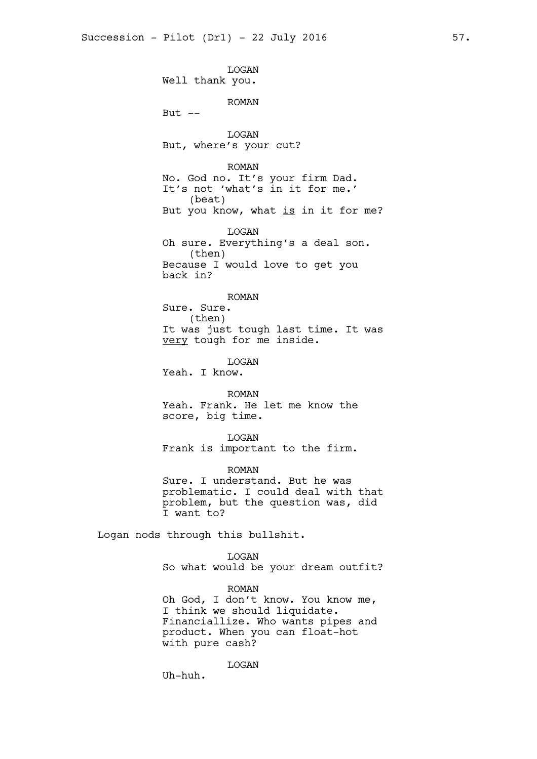LOGAN Well thank you. ROMAN But  $--$ LOGAN But, where's your cut? ROMAN No. God no. It's your firm Dad. It's not 'what's in it for me.' (beat) But you know, what is in it for me? LOGAN Oh sure. Everything's a deal son. (then) Because I would love to get you back in? ROMAN Sure. Sure. (then) It was just tough last time. It was very tough for me inside. LOGAN Yeah. I know. ROMAN Yeah. Frank. He let me know the score, big time. LOGAN Frank is important to the firm. ROMAN Sure. I understand. But he was problematic. I could deal with that problem, but the question was, did I want to? Logan nods through this bullshit. LOGAN So what would be your dream outfit?

> ROMAN Oh God, I don't know. You know me, I think we should liquidate. Financiallize. Who wants pipes and product. When you can float-hot with pure cash?

> > LOGAN

Uh-huh.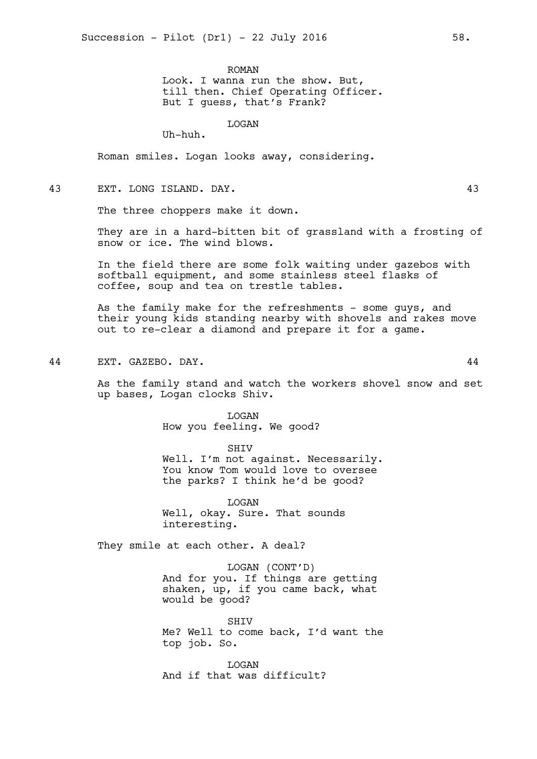ROMAN

Look. I wanna run the show. But, till then. Chief Operating Officer. But I guess, that's Frank?

LOGAN

Uh-huh.

Roman smiles. Logan looks away, considering.

## 43 EXT. LONG ISLAND. DAY. 43

The three choppers make it down.

They are in a hard-bitten bit of grassland with a frosting of snow or ice. The wind blows.

In the field there are some folk waiting under gazebos with softball equipment, and some stainless steel flasks of coffee, soup and tea on trestle tables.

As the family make for the refreshments - some guys, and their young kids standing nearby with shovels and rakes move out to re-clear a diamond and prepare it for a game.

44 EXT. GAZEBO. DAY. 44

As the family stand and watch the workers shovel snow and set up bases, Logan clocks Shiv.

> LOGAN How you feeling. We good?

SHIV Well. I'm not against. Necessarily. You know Tom would love to oversee the parks? I think he'd be good?

LOGAN Well, okay. Sure. That sounds interesting.

They smile at each other. A deal?

LOGAN (CONT'D) And for you. If things are getting shaken, up, if you came back, what would be good?

**SHTV** Me? Well to come back, I'd want the top job. So.

**T.OGAN** And if that was difficult?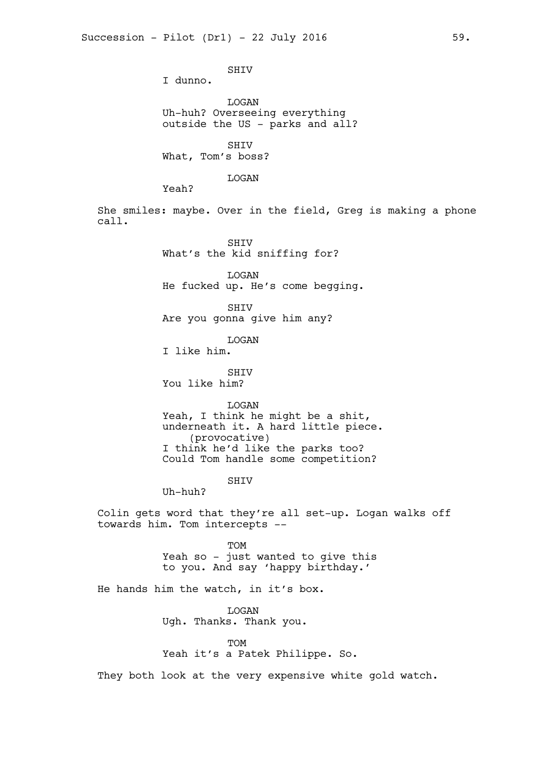SHIV I dunno. LOGAN Uh-huh? Overseeing everything outside the US - parks and all? **SHTV** What, Tom's boss? LOGAN Yeah? She smiles: maybe. Over in the field, Greg is making a phone call. SHIV What's the kid sniffing for? LOGAN He fucked up. He's come begging. SHIV Are you gonna give him any? LOGAN I like him. **SHTV** You like him? LOGAN Yeah, I think he might be a shit, underneath it. A hard little piece. (provocative) I think he'd like the parks too? Could Tom handle some competition? SHIV Uh-huh? Colin gets word that they're all set-up. Logan walks off towards him. Tom intercepts -- TOM Yeah so - just wanted to give this to you. And say 'happy birthday.' He hands him the watch, in it's box. LOGAN Ugh. Thanks. Thank you. **TOM** Yeah it's a Patek Philippe. So. They both look at the very expensive white gold watch.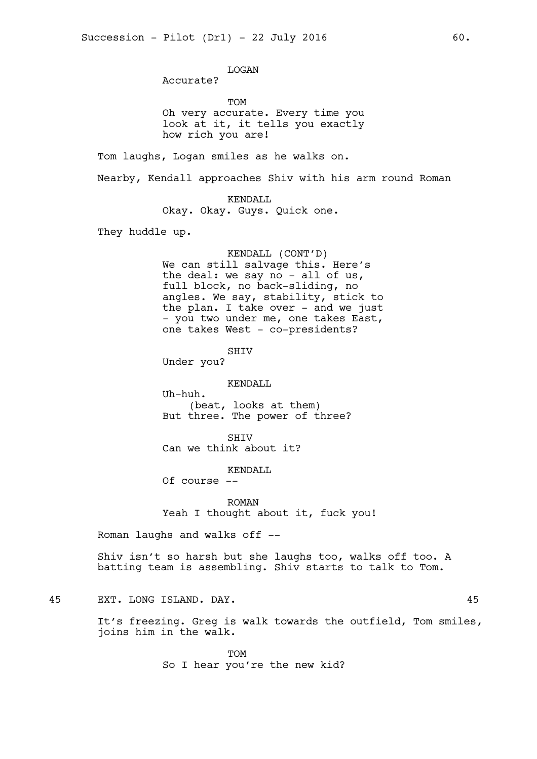LOGAN

Accurate?

TOM Oh very accurate. Every time you look at it, it tells you exactly how rich you are!

Tom laughs, Logan smiles as he walks on.

Nearby, Kendall approaches Shiv with his arm round Roman

KENDALL Okay. Okay. Guys. Quick one.

They huddle up.

#### KENDALL (CONT'D)

We can still salvage this. Here's the deal: we say no - all of us, full block, no back-sliding, no angles. We say, stability, stick to the plan. I take over - and we just - you two under me, one takes East, one takes West - co-presidents?

SHIV

Under you?

KENDALL

Uh-huh. (beat, looks at them) But three. The power of three?

SHIV

Can we think about it?

KENDALL

Of course --

ROMAN Yeah I thought about it, fuck you!

Roman laughs and walks off --

Shiv isn't so harsh but she laughs too, walks off too. A batting team is assembling. Shiv starts to talk to Tom.

## 45 EXT. LONG ISLAND. DAY. 45

It's freezing. Greg is walk towards the outfield, Tom smiles, joins him in the walk.

> TOM So I hear you're the new kid?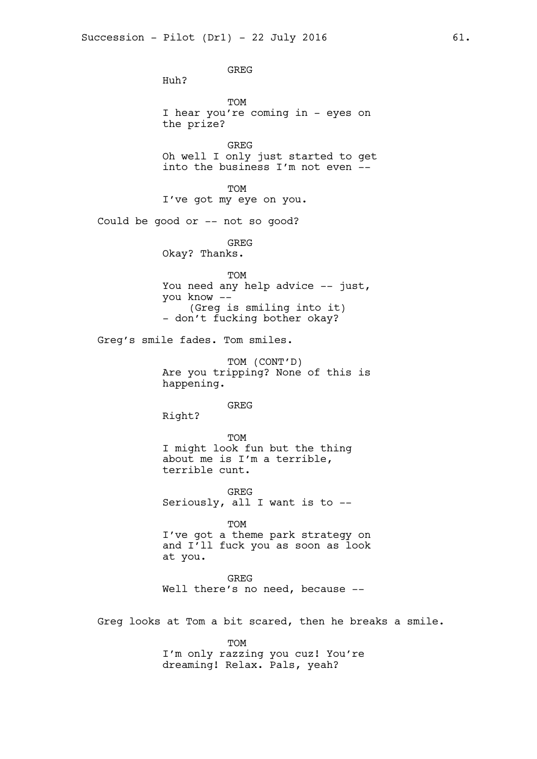GREG Huh? TOM I hear you're coming in - eyes on the prize? GREG Oh well I only just started to get into the business I'm not even -- TOM I've got my eye on you. Could be good or -- not so good? GREG Okay? Thanks. TOM You need any help advice -- just, you know -- (Greg is smiling into it) - don't fucking bother okay? Greg's smile fades. Tom smiles. TOM (CONT'D) Are you tripping? None of this is happening. GREG Right? TOM I might look fun but the thing about me is I'm a terrible, terrible cunt. **GREG** Seriously, all I want is to -- TOM I've got a theme park strategy on and I'll fuck you as soon as look at you. **GREG** Well there's no need, because --Greg looks at Tom a bit scared, then he breaks a smile. **TOM** I'm only razzing you cuz! You're dreaming! Relax. Pals, yeah?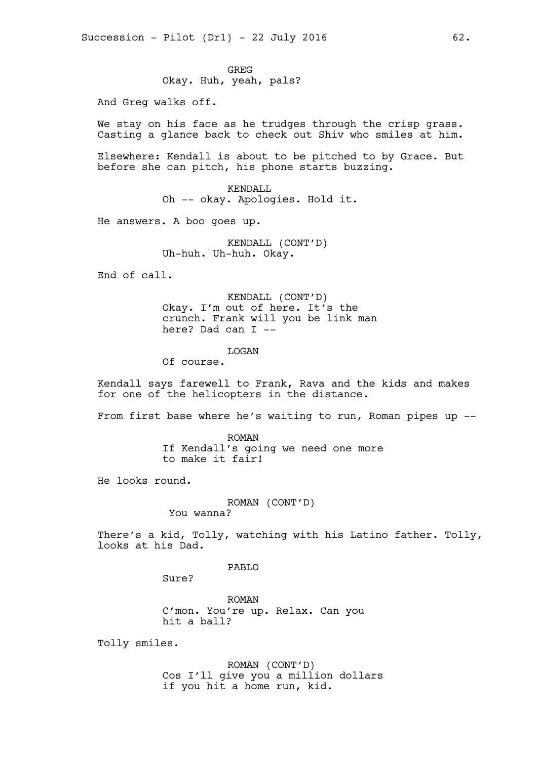GREG Okay. Huh, yeah, pals?

And Greg walks off.

We stay on his face as he trudges through the crisp grass. Casting a glance back to check out Shiv who smiles at him.

Elsewhere: Kendall is about to be pitched to by Grace. But before she can pitch, his phone starts buzzing.

> KENDALL Oh -- okay. Apologies. Hold it.

He answers. A boo goes up.

KENDALL (CONT'D) Uh-huh. Uh-huh. Okay.

End of call.

KENDALL (CONT'D) Okay. I'm out of here. It's the crunch. Frank will you be link man here? Dad can I --

LOGAN

Of course.

Kendall says farewell to Frank, Rava and the kids and makes for one of the helicopters in the distance.

From first base where he's waiting to run, Roman pipes up --

ROMAN If Kendall's going we need one more to make it fair!

He looks round.

ROMAN (CONT'D)

You wanna?

There's a kid, Tolly, watching with his Latino father. Tolly, looks at his Dad.

PABLO

Sure?

ROMAN C'mon. You're up. Relax. Can you hit a ball?

Tolly smiles.

ROMAN (CONT'D) Cos I'll give you a million dollars if you hit a home run, kid.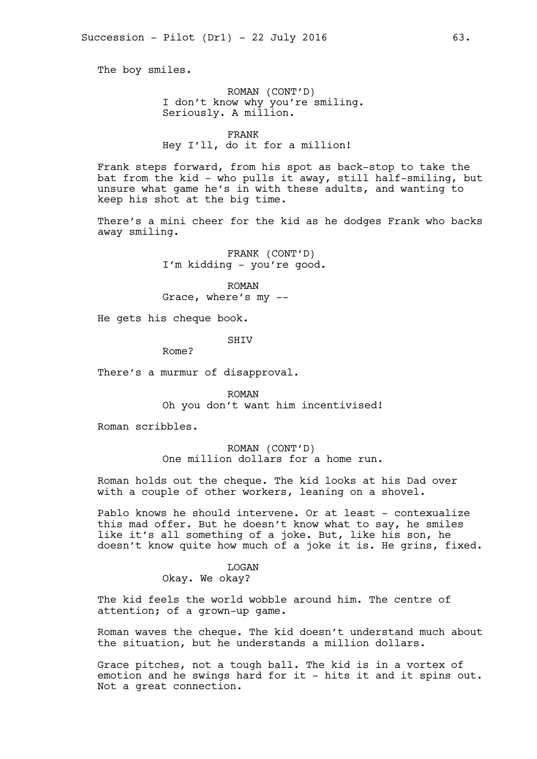The boy smiles.

ROMAN (CONT'D) I don't know why you're smiling. Seriously. A million.

FRANK Hey I'll, do it for a million!

Frank steps forward, from his spot as back-stop to take the bat from the kid - who pulls it away, still half-smiling, but unsure what game he's in with these adults, and wanting to keep his shot at the big time.

There's a mini cheer for the kid as he dodges Frank who backs away smiling.

> FRANK (CONT'D) I'm kidding - you're good.

ROMAN Grace, where's my --

He gets his cheque book.

**SHTV** 

Rome?

There's a murmur of disapproval.

ROMAN Oh you don't want him incentivised!

Roman scribbles.

ROMAN (CONT'D) One million dollars for a home run.

Roman holds out the cheque. The kid looks at his Dad over with a couple of other workers, leaning on a shovel.

Pablo knows he should intervene. Or at least - contexualize this mad offer. But he doesn't know what to say, he smiles like it's all something of a joke. But, like his son, he doesn't know quite how much of a joke it is. He grins, fixed.

> LOGAN Okay. We okay?

The kid feels the world wobble around him. The centre of attention; of a grown-up game.

Roman waves the cheque. The kid doesn't understand much about the situation, but he understands a million dollars.

Grace pitches, not a tough ball. The kid is in a vortex of emotion and he swings hard for it - hits it and it spins out. Not a great connection.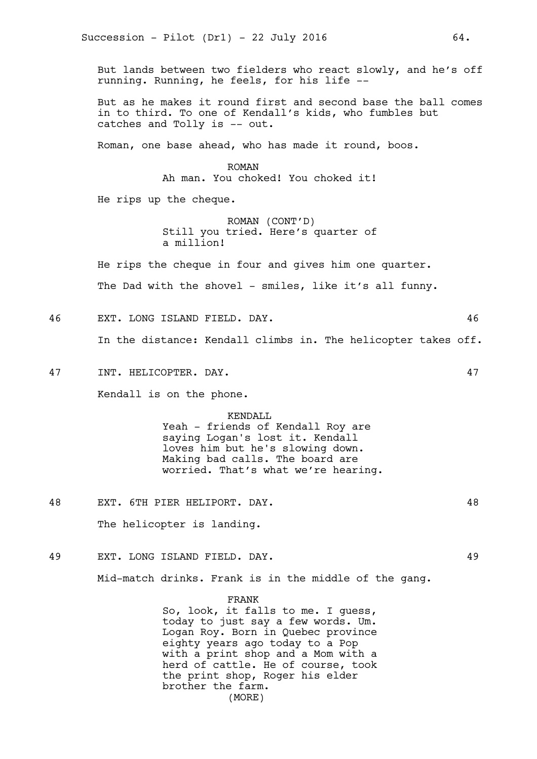But lands between two fielders who react slowly, and he's off running. Running, he feels, for his life --

But as he makes it round first and second base the ball comes in to third. To one of Kendall's kids, who fumbles but catches and Tolly is -- out.

Roman, one base ahead, who has made it round, boos.

ROMAN Ah man. You choked! You choked it!

He rips up the cheque.

ROMAN (CONT'D) Still you tried. Here's quarter of a million!

He rips the cheque in four and gives him one quarter.

The Dad with the shovel - smiles, like it's all funny.

46 EXT. LONG ISLAND FIELD. DAY. 46

In the distance: Kendall climbs in. The helicopter takes off.

47 INT. HELICOPTER. DAY. 47

Kendall is on the phone.

#### KENDALL

Yeah - friends of Kendall Roy are saying Logan's lost it. Kendall loves him but he's slowing down. Making bad calls. The board are worried. That's what we're hearing.

48 EXT. 6TH PIER HELIPORT. DAY. 48

The helicopter is landing.

49 EXT. LONG ISLAND FIELD. DAY. 49

Mid-match drinks. Frank is in the middle of the gang.

#### FRANK

So, look, it falls to me. I guess, today to just say a few words. Um. Logan Roy. Born in Quebec province eighty years ago today to a Pop with a print shop and a Mom with a herd of cattle. He of course, took the print shop, Roger his elder brother the farm. (MORE)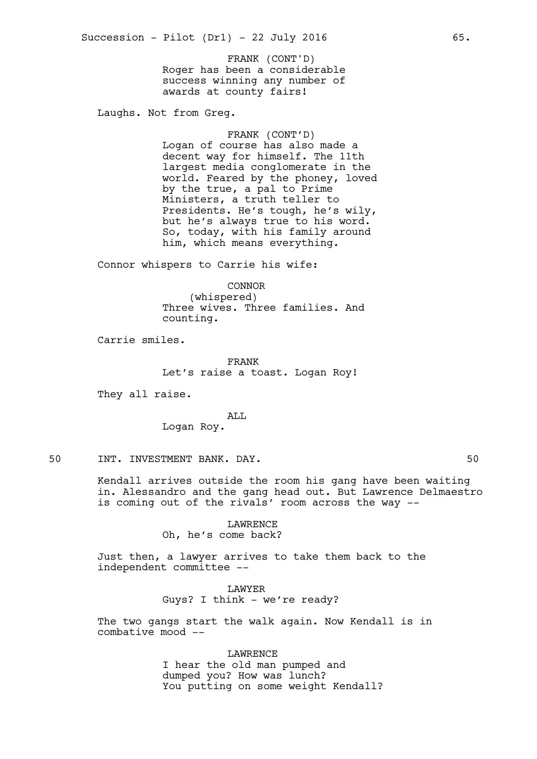Roger has been a considerable success winning any number of awards at county fairs! FRANK (CONT'D)

Laughs. Not from Greg.

FRANK (CONT'D) Logan of course has also made a decent way for himself. The 11th largest media conglomerate in the world. Feared by the phoney, loved by the true, a pal to Prime Ministers, a truth teller to Presidents. He's tough, he's wily, but he's always true to his word. So, today, with his family around him, which means everything.

Connor whispers to Carrie his wife:

CONNOR (whispered) Three wives. Three families. And counting.

Carrie smiles.

FRANK Let's raise a toast. Logan Roy!

They all raise.

## ALL

Logan Roy.

## 50 INT. INVESTMENT BANK. DAY. 50

Kendall arrives outside the room his gang have been waiting in. Alessandro and the gang head out. But Lawrence Delmaestro is coming out of the rivals' room across the way --

### LAWRENCE

Oh, he's come back?

Just then, a lawyer arrives to take them back to the independent committee --

> LAWYER Guys? I think - we're ready?

The two gangs start the walk again. Now Kendall is in combative mood --

> LAWRENCE I hear the old man pumped and dumped you? How was lunch? You putting on some weight Kendall?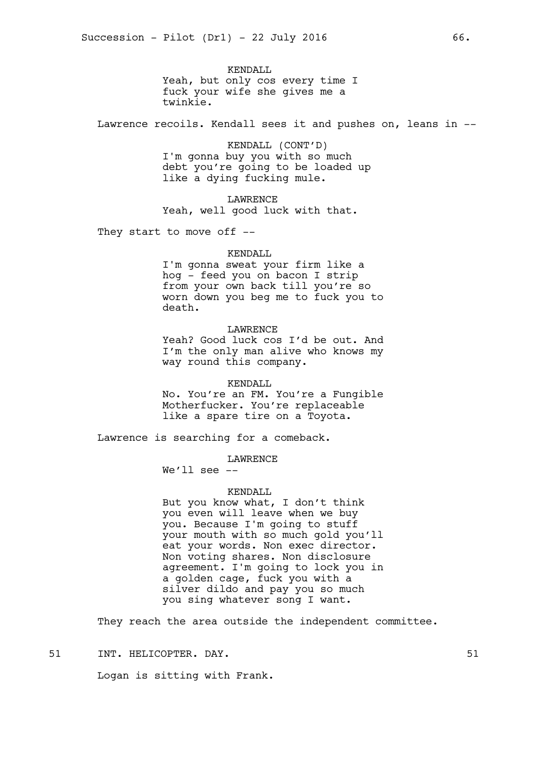KENDALL Yeah, but only cos every time I fuck your wife she gives me a twinkie.

Lawrence recoils. Kendall sees it and pushes on, leans in --

KENDALL (CONT'D) I'm gonna buy you with so much debt you're going to be loaded up like a dying fucking mule.

LAWRENCE Yeah, well good luck with that.

They start to move off --

#### KENDALL

I'm gonna sweat your firm like a hog - feed you on bacon I strip from your own back till you're so worn down you beg me to fuck you to death.

#### LAWRENCE

Yeah? Good luck cos I'd be out. And I'm the only man alive who knows my way round this company.

KENDALL

No. You're an FM. You're a Fungible Motherfucker. You're replaceable like a spare tire on a Toyota.

Lawrence is searching for a comeback.

#### LAWRENCE

We'll see  $-$ 

#### KENDALL

But you know what, I don't think you even will leave when we buy you. Because I'm going to stuff your mouth with so much gold you'll eat your words. Non exec director. Non voting shares. Non disclosure agreement. I'm going to lock you in a golden cage, fuck you with a silver dildo and pay you so much you sing whatever song I want.

They reach the area outside the independent committee.

51 INT. HELICOPTER. DAY. 51

Logan is sitting with Frank.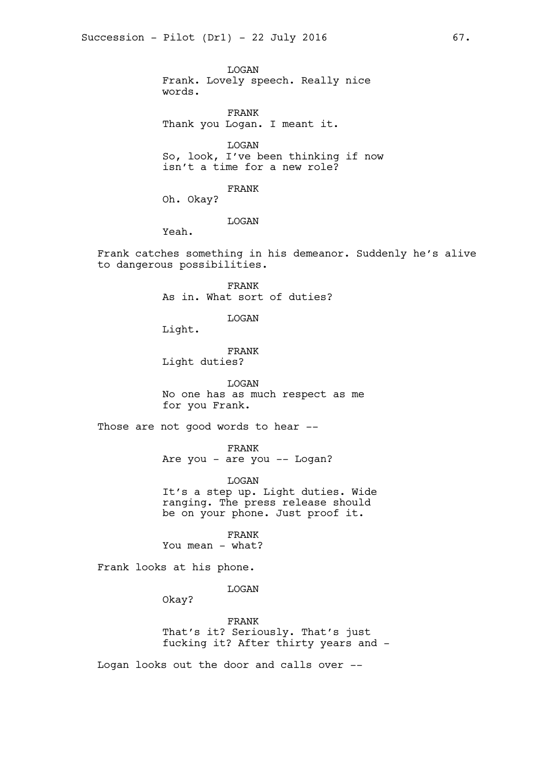LOGAN Frank. Lovely speech. Really nice words.

FRANK Thank you Logan. I meant it.

LOGAN So, look, I've been thinking if now isn't a time for a new role?

FRANK

Oh. Okay?

LOGAN

Yeah.

Frank catches something in his demeanor. Suddenly he's alive to dangerous possibilities.

> FRANK As in. What sort of duties?

> > LOGAN

Light.

FRANK Light duties?

LOGAN No one has as much respect as me for you Frank.

Those are not good words to hear --

FRANK

Are you - are you -- Logan?

LOGAN It's a step up. Light duties. Wide ranging. The press release should be on your phone. Just proof it.

FRANK You mean - what?

Frank looks at his phone.

LOGAN

Okay?

FRANK That's it? Seriously. That's just fucking it? After thirty years and -

Logan looks out the door and calls over --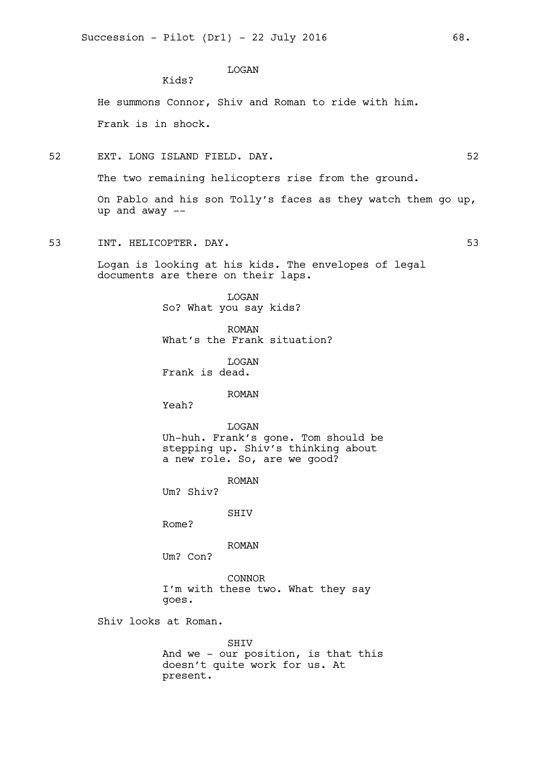# LOGAN

He summons Connor, Shiv and Roman to ride with him. Frank is in shock.

52 EXT. LONG ISLAND FIELD. DAY. 52

Kids?

The two remaining helicopters rise from the ground.

On Pablo and his son Tolly's faces as they watch them go up, up and away --

53 INT. HELICOPTER. DAY. 53

Logan is looking at his kids. The envelopes of legal documents are there on their laps.

> LOGAN So? What you say kids?

ROMAN What's the Frank situation?

LOGAN Frank is dead.

ROMAN

Yeah?

LOGAN

Uh-huh. Frank's gone. Tom should be stepping up. Shiv's thinking about a new role. So, are we good?

ROMAN

Um? Shiv?

SHIV

Rome?

ROMAN

Um? Con?

CONNOR I'm with these two. What they say goes.

Shiv looks at Roman.

SHIV And we - our position, is that this doesn't quite work for us. At present.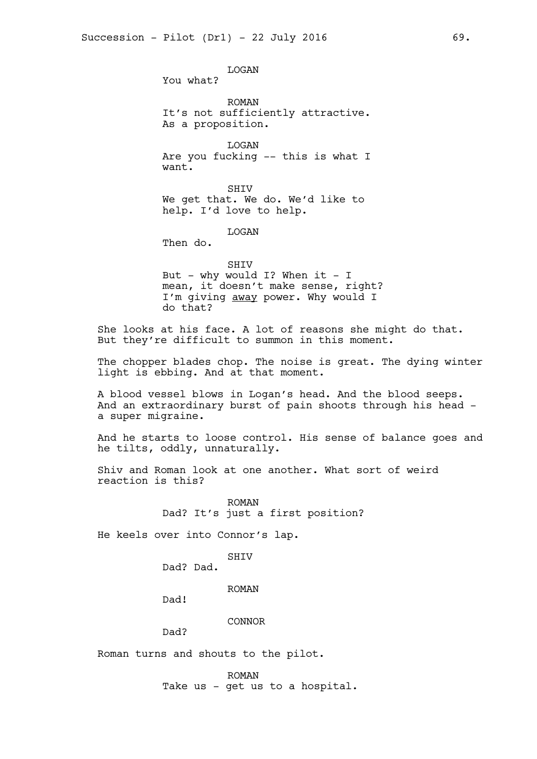LOGAN You what? ROMAN It's not sufficiently attractive. As a proposition. LOGAN Are you fucking -- this is what I want. SHIV We get that. We do. We'd like to help. I'd love to help.

LOGAN

Then do.

SHIV

But - why would I? When it - I mean, it doesn't make sense, right? I'm giving away power. Why would I do that?

She looks at his face. A lot of reasons she might do that. But they're difficult to summon in this moment.

The chopper blades chop. The noise is great. The dying winter light is ebbing. And at that moment.

A blood vessel blows in Logan's head. And the blood seeps. And an extraordinary burst of pain shoots through his head a super migraine.

And he starts to loose control. His sense of balance goes and he tilts, oddly, unnaturally.

Shiv and Roman look at one another. What sort of weird reaction is this?

> ROMAN Dad? It's just a first position?

He keels over into Connor's lap.

SHIV

Dad? Dad.

ROMAN

Dad!

CONNOR

Dad?

Roman turns and shouts to the pilot.

ROMAN Take us - get us to a hospital.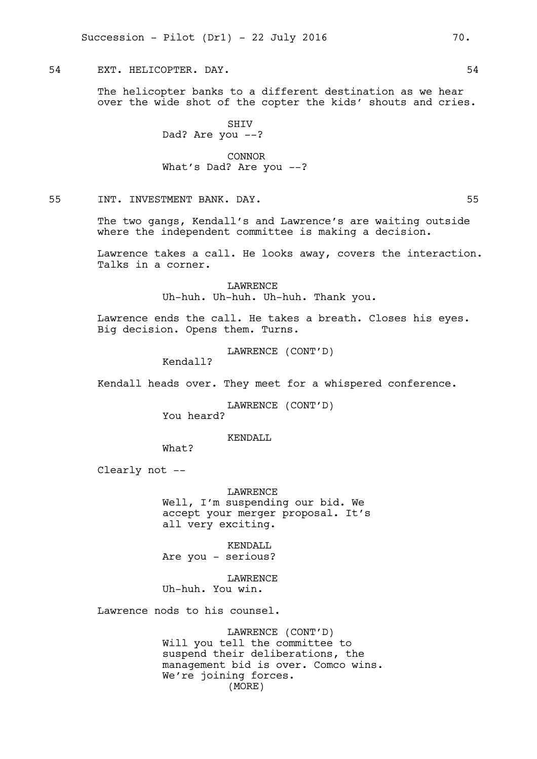54 EXT. HELICOPTER. DAY. 54

The helicopter banks to a different destination as we hear over the wide shot of the copter the kids' shouts and cries.

> SHIV Dad? Are you --?

CONNOR What's Dad? Are you --?

55 INT. INVESTMENT BANK. DAY. 55

The two gangs, Kendall's and Lawrence's are waiting outside where the independent committee is making a decision.

Lawrence takes a call. He looks away, covers the interaction. Talks in a corner.

> LAWRENCE Uh-huh. Uh-huh. Uh-huh. Thank you.

Lawrence ends the call. He takes a breath. Closes his eyes. Big decision. Opens them. Turns.

LAWRENCE (CONT'D)

Kendall?

Kendall heads over. They meet for a whispered conference.

LAWRENCE (CONT'D)

You heard?

KENDALL

What?

Clearly not --

LAWRENCE Well, I'm suspending our bid. We accept your merger proposal. It's all very exciting.

KENDALL Are you - serious?

**LAWRENCE** Uh-huh. You win.

Lawrence nods to his counsel.

LAWRENCE (CONT'D) Will you tell the committee to suspend their deliberations, the management bid is over. Comco wins. We're joining forces. (MORE)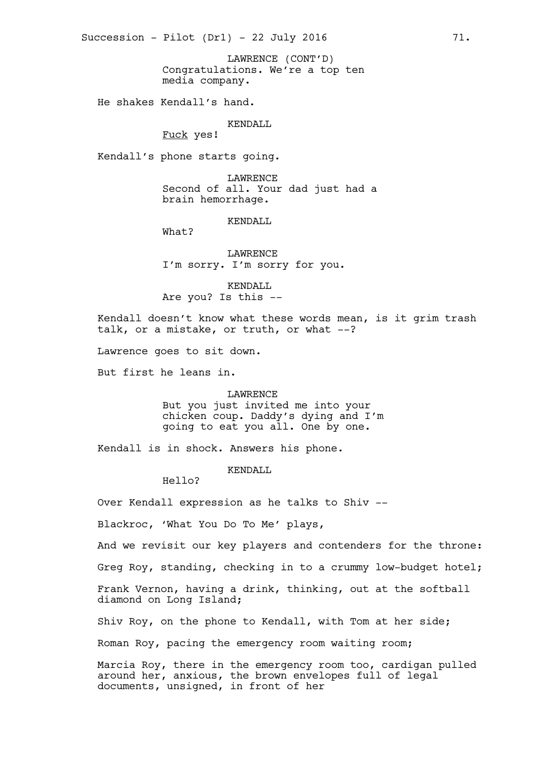Congratulations. We're a top ten media company. LAWRENCE (CONT'D)

He shakes Kendall's hand.

KENDALL

Fuck yes!

Kendall's phone starts going.

LAWRENCE Second of all. Your dad just had a brain hemorrhage.

KENDALL

LAWRENCE I'm sorry. I'm sorry for you.

KENDALL Are you? Is this --

Kendall doesn't know what these words mean, is it grim trash talk, or a mistake, or truth, or what --?

Lawrence goes to sit down.

What?

But first he leans in.

LAWRENCE But you just invited me into your chicken coup. Daddy's dying and I'm going to eat you all. One by one.

Kendall is in shock. Answers his phone.

KENDALL

Hello?

Over Kendall expression as he talks to Shiv --

Blackroc, 'What You Do To Me' plays,

And we revisit our key players and contenders for the throne:

Greg Roy, standing, checking in to a crummy low-budget hotel;

Frank Vernon, having a drink, thinking, out at the softball diamond on Long Island;

Shiv Roy, on the phone to Kendall, with Tom at her side;

Roman Roy, pacing the emergency room waiting room;

Marcia Roy, there in the emergency room too, cardigan pulled around her, anxious, the brown envelopes full of legal documents, unsigned, in front of her